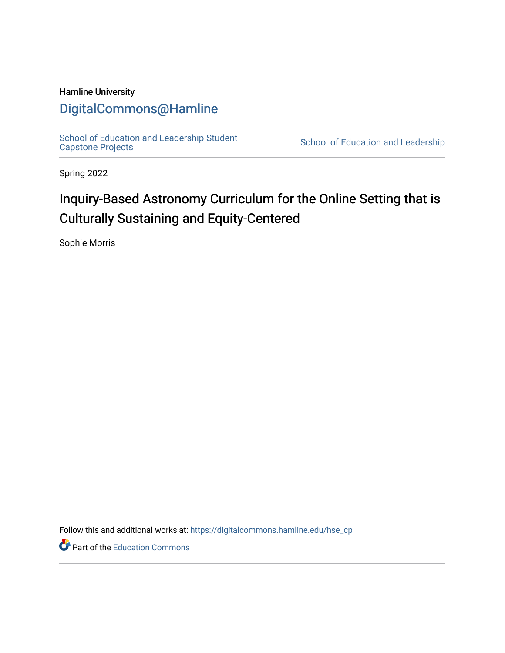### Hamline University

## [DigitalCommons@Hamline](https://digitalcommons.hamline.edu/)

[School of Education and Leadership Student](https://digitalcommons.hamline.edu/hse_cp)<br>Capstone Projects

School of Education and Leadership

Spring 2022

# Inquiry-Based Astronomy Curriculum for the Online Setting that is Culturally Sustaining and Equity-Centered

Sophie Morris

Follow this and additional works at: [https://digitalcommons.hamline.edu/hse\\_cp](https://digitalcommons.hamline.edu/hse_cp?utm_source=digitalcommons.hamline.edu%2Fhse_cp%2F809&utm_medium=PDF&utm_campaign=PDFCoverPages) 

Part of the [Education Commons](https://network.bepress.com/hgg/discipline/784?utm_source=digitalcommons.hamline.edu%2Fhse_cp%2F809&utm_medium=PDF&utm_campaign=PDFCoverPages)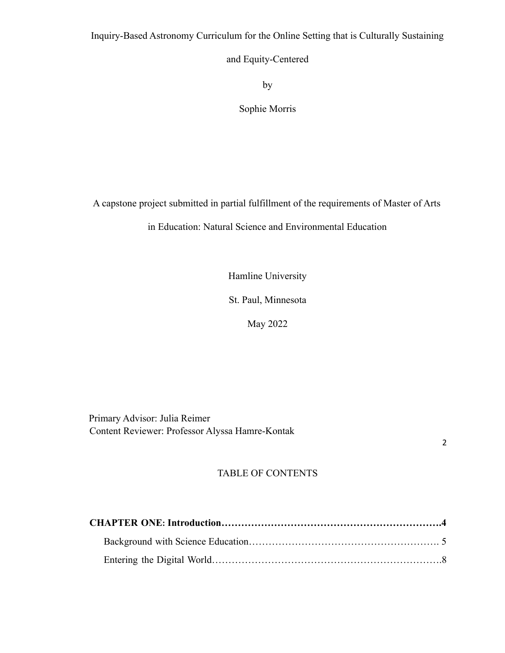Inquiry-Based Astronomy Curriculum for the Online Setting that is Culturally Sustaining

and Equity-Centered

by

Sophie Morris

A capstone project submitted in partial fulfillment of the requirements of Master of Arts

in Education: Natural Science and Environmental Education

Hamline University

St. Paul, Minnesota

May 2022

Primary Advisor: Julia Reimer Content Reviewer: Professor Alyssa Hamre-Kontak

2

## TABLE OF CONTENTS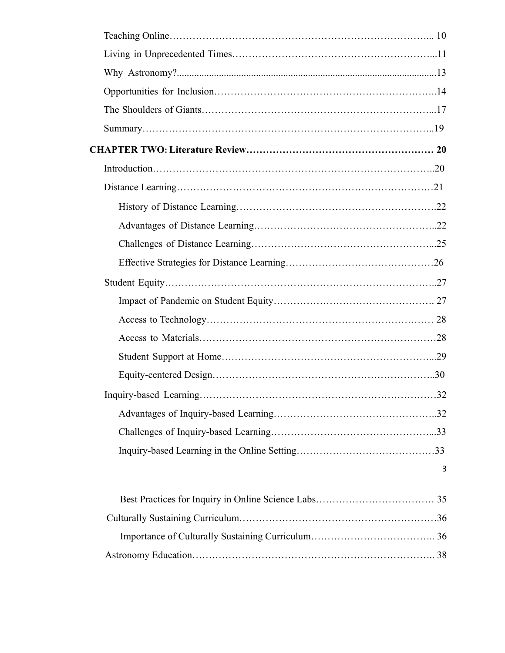| 32 |
|----|
|    |
|    |
|    |
| 3  |
|    |
|    |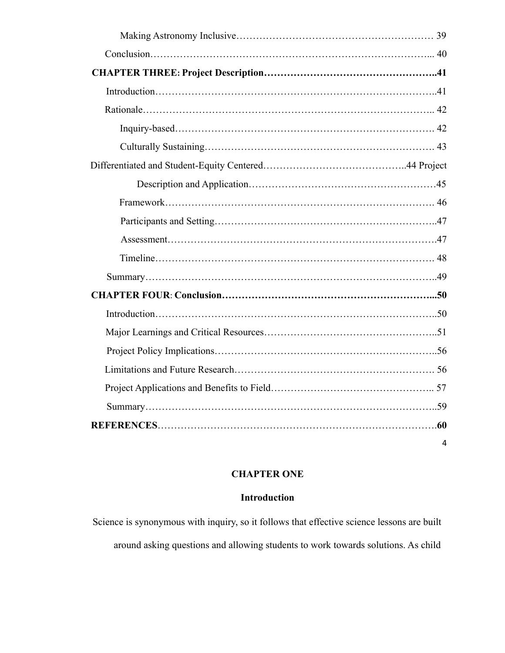|  | 4 |  |
|--|---|--|

## **CHAPTER ONE**

#### **Introduction**

Science is synonymous with inquiry, so it follows that effective science lessons are built around asking questions and allowing students to work towards solutions. As child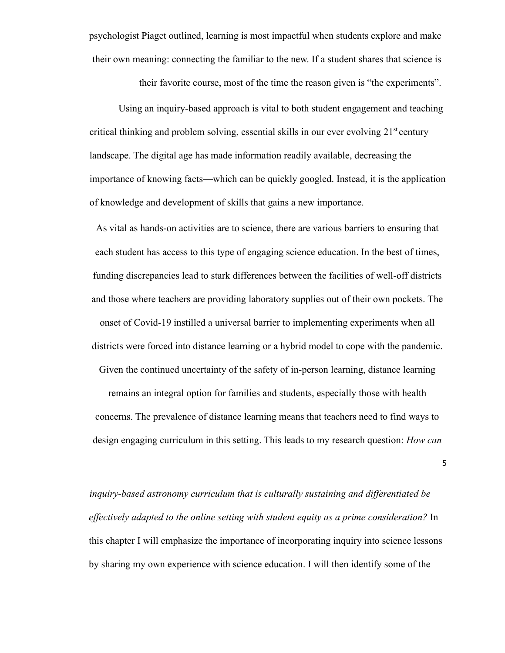psychologist Piaget outlined, learning is most impactful when students explore and make their own meaning: connecting the familiar to the new. If a student shares that science is

their favorite course, most of the time the reason given is "the experiments".

Using an inquiry-based approach is vital to both student engagement and teaching critical thinking and problem solving, essential skills in our ever evolving  $21<sup>st</sup>$  century landscape. The digital age has made information readily available, decreasing the importance of knowing facts—which can be quickly googled. Instead, it is the application of knowledge and development of skills that gains a new importance.

As vital as hands-on activities are to science, there are various barriers to ensuring that each student has access to this type of engaging science education. In the best of times, funding discrepancies lead to stark differences between the facilities of well-off districts and those where teachers are providing laboratory supplies out of their own pockets. The onset of Covid-19 instilled a universal barrier to implementing experiments when all districts were forced into distance learning or a hybrid model to cope with the pandemic. Given the continued uncertainty of the safety of in-person learning, distance learning remains an integral option for families and students, especially those with health concerns. The prevalence of distance learning means that teachers need to find ways to design engaging curriculum in this setting. This leads to my research question: *How can*

5

*inquiry-based astronomy curriculum that is culturally sustaining and differentiated be effectively adapted to the online setting with student equity as a prime consideration?* In this chapter I will emphasize the importance of incorporating inquiry into science lessons by sharing my own experience with science education. I will then identify some of the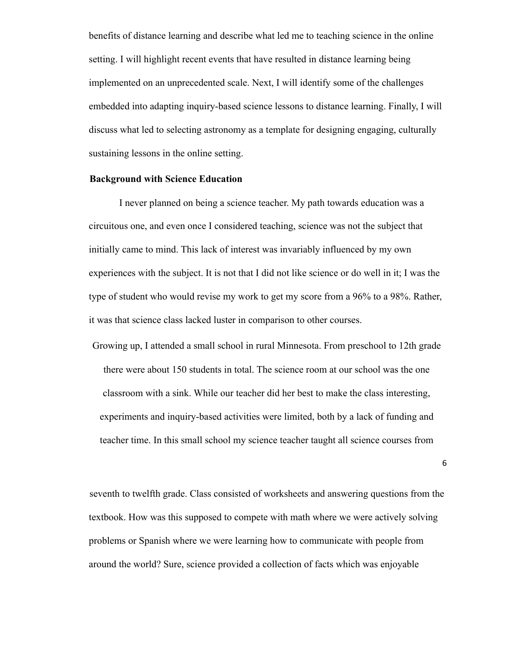benefits of distance learning and describe what led me to teaching science in the online setting. I will highlight recent events that have resulted in distance learning being implemented on an unprecedented scale. Next, I will identify some of the challenges embedded into adapting inquiry-based science lessons to distance learning. Finally, I will discuss what led to selecting astronomy as a template for designing engaging, culturally sustaining lessons in the online setting.

#### **Background with Science Education**

I never planned on being a science teacher. My path towards education was a circuitous one, and even once I considered teaching, science was not the subject that initially came to mind. This lack of interest was invariably influenced by my own experiences with the subject. It is not that I did not like science or do well in it; I was the type of student who would revise my work to get my score from a 96% to a 98%. Rather, it was that science class lacked luster in comparison to other courses.

Growing up, I attended a small school in rural Minnesota. From preschool to 12th grade there were about 150 students in total. The science room at our school was the one classroom with a sink. While our teacher did her best to make the class interesting, experiments and inquiry-based activities were limited, both by a lack of funding and teacher time. In this small school my science teacher taught all science courses from

6

seventh to twelfth grade. Class consisted of worksheets and answering questions from the textbook. How was this supposed to compete with math where we were actively solving problems or Spanish where we were learning how to communicate with people from around the world? Sure, science provided a collection of facts which was enjoyable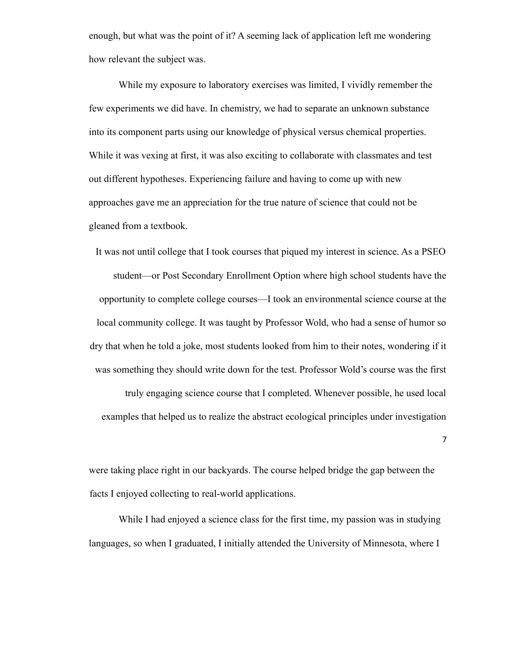enough, but what was the point of it? A seeming lack of application left me wondering how relevant the subject was.

While my exposure to laboratory exercises was limited, I vividly remember the few experiments we did have. In chemistry, we had to separate an unknown substance into its component parts using our knowledge of physical versus chemical properties. While it was vexing at first, it was also exciting to collaborate with classmates and test out different hypotheses. Experiencing failure and having to come up with new approaches gave me an appreciation for the true nature of science that could not be gleaned from a textbook.

It was not until college that I took courses that piqued my interest in science. As a PSEO student—or Post Secondary Enrollment Option where high school students have the opportunity to complete college courses—I took an environmental science course at the local community college. It was taught by Professor Wold, who had a sense of humor so dry that when he told a joke, most students looked from him to their notes, wondering if it was something they should write down for the test. Professor Wold's course was the first truly engaging science course that I completed. Whenever possible, he used local examples that helped us to realize the abstract ecological principles under investigation

were taking place right in our backyards. The course helped bridge the gap between the facts I enjoyed collecting to real-world applications.

While I had enjoyed a science class for the first time, my passion was in studying languages, so when I graduated, I initially attended the University of Minnesota, where I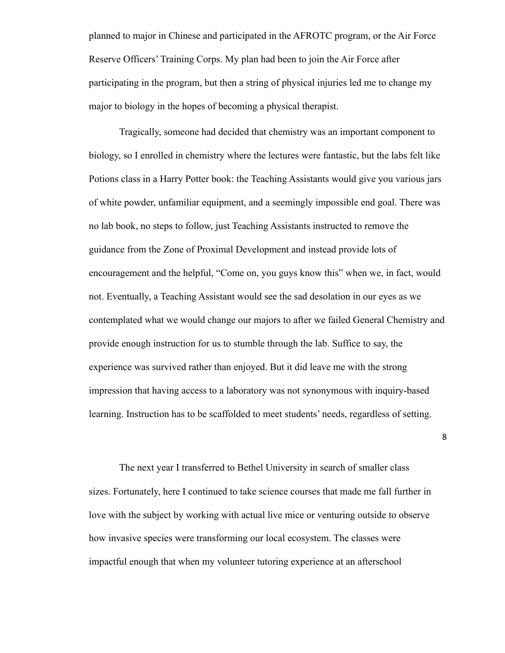planned to major in Chinese and participated in the AFROTC program, or the Air Force Reserve Officers' Training Corps. My plan had been to join the Air Force after participating in the program, but then a string of physical injuries led me to change my major to biology in the hopes of becoming a physical therapist.

Tragically, someone had decided that chemistry was an important component to biology, so I enrolled in chemistry where the lectures were fantastic, but the labs felt like Potions class in a Harry Potter book: the Teaching Assistants would give you various jars of white powder, unfamiliar equipment, and a seemingly impossible end goal. There was no lab book, no steps to follow, just Teaching Assistants instructed to remove the guidance from the Zone of Proximal Development and instead provide lots of encouragement and the helpful, "Come on, you guys know this" when we, in fact, would not. Eventually, a Teaching Assistant would see the sad desolation in our eyes as we contemplated what we would change our majors to after we failed General Chemistry and provide enough instruction for us to stumble through the lab. Suffice to say, the experience was survived rather than enjoyed. But it did leave me with the strong impression that having access to a laboratory was not synonymous with inquiry-based learning. Instruction has to be scaffolded to meet students' needs, regardless of setting.

The next year I transferred to Bethel University in search of smaller class sizes. Fortunately, here I continued to take science courses that made me fall further in love with the subject by working with actual live mice or venturing outside to observe how invasive species were transforming our local ecosystem. The classes were impactful enough that when my volunteer tutoring experience at an afterschool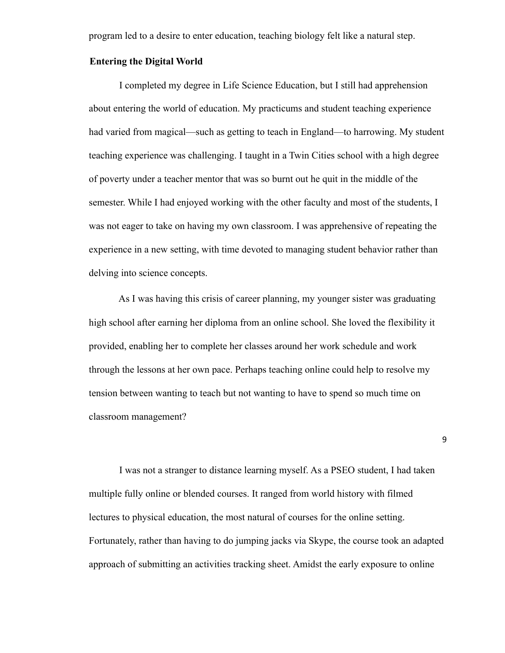program led to a desire to enter education, teaching biology felt like a natural step.

#### **Entering the Digital World**

I completed my degree in Life Science Education, but I still had apprehension about entering the world of education. My practicums and student teaching experience had varied from magical—such as getting to teach in England—to harrowing. My student teaching experience was challenging. I taught in a Twin Cities school with a high degree of poverty under a teacher mentor that was so burnt out he quit in the middle of the semester. While I had enjoyed working with the other faculty and most of the students, I was not eager to take on having my own classroom. I was apprehensive of repeating the experience in a new setting, with time devoted to managing student behavior rather than delving into science concepts.

As I was having this crisis of career planning, my younger sister was graduating high school after earning her diploma from an online school. She loved the flexibility it provided, enabling her to complete her classes around her work schedule and work through the lessons at her own pace. Perhaps teaching online could help to resolve my tension between wanting to teach but not wanting to have to spend so much time on classroom management?

I was not a stranger to distance learning myself. As a PSEO student, I had taken multiple fully online or blended courses. It ranged from world history with filmed lectures to physical education, the most natural of courses for the online setting. Fortunately, rather than having to do jumping jacks via Skype, the course took an adapted approach of submitting an activities tracking sheet. Amidst the early exposure to online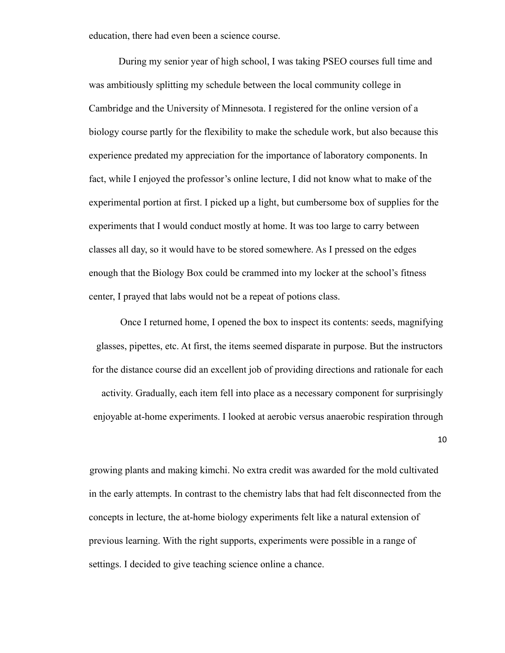education, there had even been a science course.

During my senior year of high school, I was taking PSEO courses full time and was ambitiously splitting my schedule between the local community college in Cambridge and the University of Minnesota. I registered for the online version of a biology course partly for the flexibility to make the schedule work, but also because this experience predated my appreciation for the importance of laboratory components. In fact, while I enjoyed the professor's online lecture, I did not know what to make of the experimental portion at first. I picked up a light, but cumbersome box of supplies for the experiments that I would conduct mostly at home. It was too large to carry between classes all day, so it would have to be stored somewhere. As I pressed on the edges enough that the Biology Box could be crammed into my locker at the school's fitness center, I prayed that labs would not be a repeat of potions class.

Once I returned home, I opened the box to inspect its contents: seeds, magnifying glasses, pipettes, etc. At first, the items seemed disparate in purpose. But the instructors for the distance course did an excellent job of providing directions and rationale for each activity. Gradually, each item fell into place as a necessary component for surprisingly enjoyable at-home experiments. I looked at aerobic versus anaerobic respiration through 10

growing plants and making kimchi. No extra credit was awarded for the mold cultivated in the early attempts. In contrast to the chemistry labs that had felt disconnected from the concepts in lecture, the at-home biology experiments felt like a natural extension of previous learning. With the right supports, experiments were possible in a range of settings. I decided to give teaching science online a chance.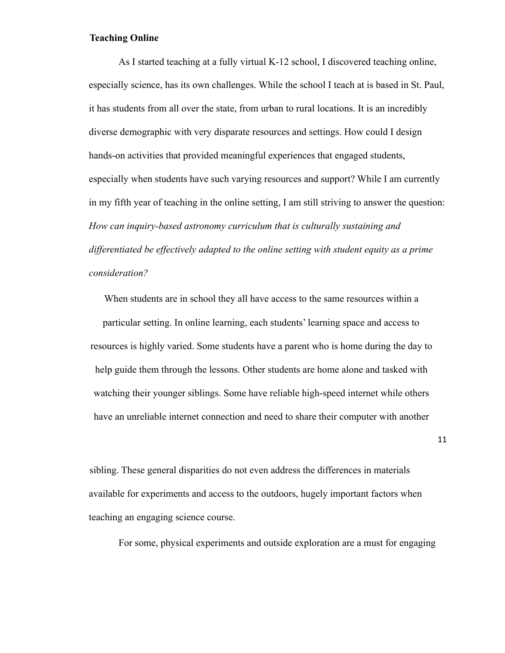#### **Teaching Online**

As I started teaching at a fully virtual K-12 school, I discovered teaching online, especially science, has its own challenges. While the school I teach at is based in St. Paul, it has students from all over the state, from urban to rural locations. It is an incredibly diverse demographic with very disparate resources and settings. How could I design hands-on activities that provided meaningful experiences that engaged students, especially when students have such varying resources and support? While I am currently in my fifth year of teaching in the online setting, I am still striving to answer the question: *How can inquiry-based astronomy curriculum that is culturally sustaining and differentiated be effectively adapted to the online setting with student equity as a prime consideration?*

When students are in school they all have access to the same resources within a particular setting. In online learning, each students' learning space and access to resources is highly varied. Some students have a parent who is home during the day to help guide them through the lessons. Other students are home alone and tasked with watching their younger siblings. Some have reliable high-speed internet while others have an unreliable internet connection and need to share their computer with another

sibling. These general disparities do not even address the differences in materials available for experiments and access to the outdoors, hugely important factors when teaching an engaging science course.

For some, physical experiments and outside exploration are a must for engaging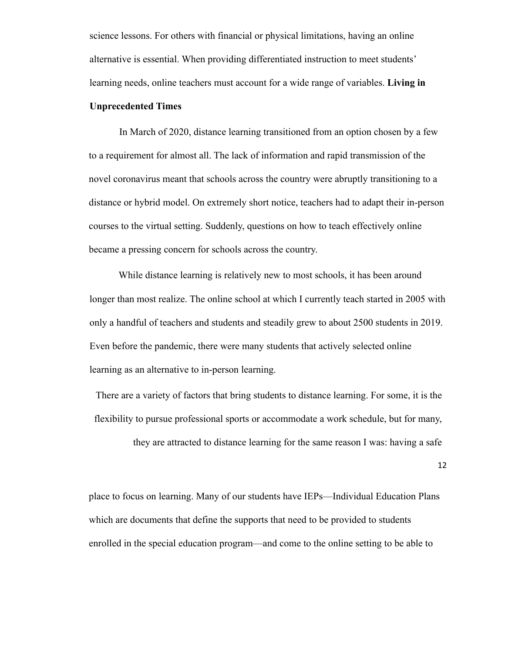science lessons. For others with financial or physical limitations, having an online alternative is essential. When providing differentiated instruction to meet students' learning needs, online teachers must account for a wide range of variables. **Living in**

#### **Unprecedented Times**

In March of 2020, distance learning transitioned from an option chosen by a few to a requirement for almost all. The lack of information and rapid transmission of the novel coronavirus meant that schools across the country were abruptly transitioning to a distance or hybrid model. On extremely short notice, teachers had to adapt their in-person courses to the virtual setting. Suddenly, questions on how to teach effectively online became a pressing concern for schools across the country.

While distance learning is relatively new to most schools, it has been around longer than most realize. The online school at which I currently teach started in 2005 with only a handful of teachers and students and steadily grew to about 2500 students in 2019. Even before the pandemic, there were many students that actively selected online learning as an alternative to in-person learning.

There are a variety of factors that bring students to distance learning. For some, it is the flexibility to pursue professional sports or accommodate a work schedule, but for many, they are attracted to distance learning for the same reason I was: having a safe

12

place to focus on learning. Many of our students have IEPs—Individual Education Plans which are documents that define the supports that need to be provided to students enrolled in the special education program—and come to the online setting to be able to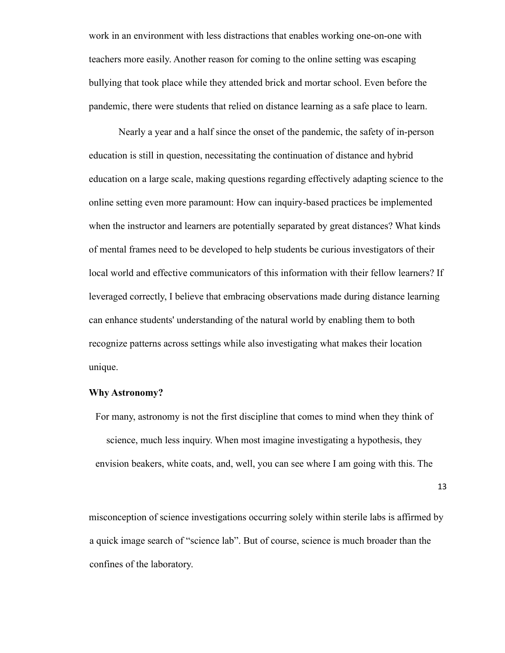work in an environment with less distractions that enables working one-on-one with teachers more easily. Another reason for coming to the online setting was escaping bullying that took place while they attended brick and mortar school. Even before the pandemic, there were students that relied on distance learning as a safe place to learn.

Nearly a year and a half since the onset of the pandemic, the safety of in-person education is still in question, necessitating the continuation of distance and hybrid education on a large scale, making questions regarding effectively adapting science to the online setting even more paramount: How can inquiry-based practices be implemented when the instructor and learners are potentially separated by great distances? What kinds of mental frames need to be developed to help students be curious investigators of their local world and effective communicators of this information with their fellow learners? If leveraged correctly, I believe that embracing observations made during distance learning can enhance students' understanding of the natural world by enabling them to both recognize patterns across settings while also investigating what makes their location unique.

#### **Why Astronomy?**

For many, astronomy is not the first discipline that comes to mind when they think of science, much less inquiry. When most imagine investigating a hypothesis, they envision beakers, white coats, and, well, you can see where I am going with this. The

13

misconception of science investigations occurring solely within sterile labs is affirmed by a quick image search of "science lab". But of course, science is much broader than the confines of the laboratory.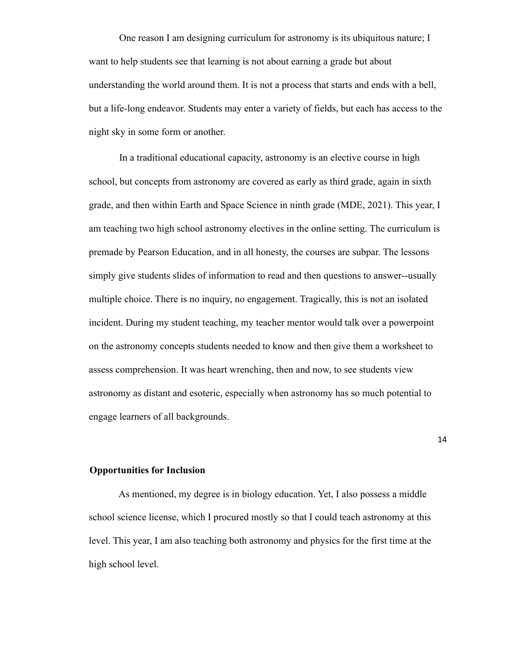One reason I am designing curriculum for astronomy is its ubiquitous nature; I want to help students see that learning is not about earning a grade but about understanding the world around them. It is not a process that starts and ends with a bell, but a life-long endeavor. Students may enter a variety of fields, but each has access to the night sky in some form or another.

In a traditional educational capacity, astronomy is an elective course in high school, but concepts from astronomy are covered as early as third grade, again in sixth grade, and then within Earth and Space Science in ninth grade (MDE, 2021). This year, I am teaching two high school astronomy electives in the online setting. The curriculum is premade by Pearson Education, and in all honesty, the courses are subpar. The lessons simply give students slides of information to read and then questions to answer--usually multiple choice. There is no inquiry, no engagement. Tragically, this is not an isolated incident. During my student teaching, my teacher mentor would talk over a powerpoint on the astronomy concepts students needed to know and then give them a worksheet to assess comprehension. It was heart wrenching, then and now, to see students view astronomy as distant and esoteric, especially when astronomy has so much potential to engage learners of all backgrounds.

**Opportunities for Inclusion**

As mentioned, my degree is in biology education. Yet, I also possess a middle school science license, which I procured mostly so that I could teach astronomy at this level. This year, I am also teaching both astronomy and physics for the first time at the high school level.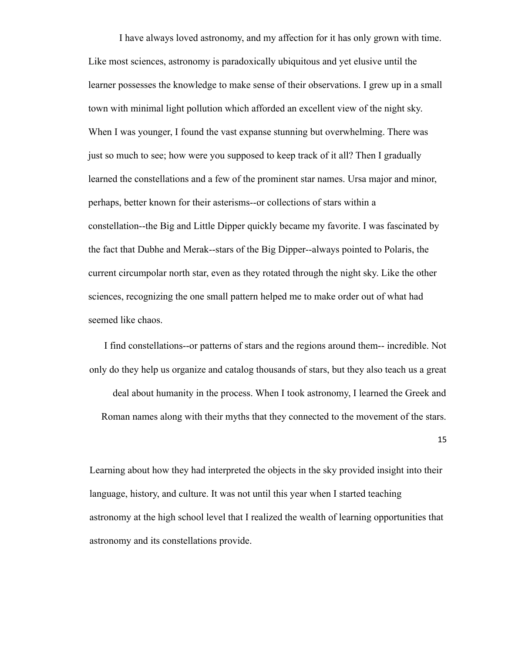I have always loved astronomy, and my affection for it has only grown with time. Like most sciences, astronomy is paradoxically ubiquitous and yet elusive until the learner possesses the knowledge to make sense of their observations. I grew up in a small town with minimal light pollution which afforded an excellent view of the night sky. When I was younger, I found the vast expanse stunning but overwhelming. There was just so much to see; how were you supposed to keep track of it all? Then I gradually learned the constellations and a few of the prominent star names. Ursa major and minor, perhaps, better known for their asterisms--or collections of stars within a constellation--the Big and Little Dipper quickly became my favorite. I was fascinated by the fact that Dubhe and Merak--stars of the Big Dipper--always pointed to Polaris, the current circumpolar north star, even as they rotated through the night sky. Like the other sciences, recognizing the one small pattern helped me to make order out of what had seemed like chaos.

I find constellations--or patterns of stars and the regions around them-- incredible. Not only do they help us organize and catalog thousands of stars, but they also teach us a great deal about humanity in the process. When I took astronomy, I learned the Greek and Roman names along with their myths that they connected to the movement of the stars.

15

Learning about how they had interpreted the objects in the sky provided insight into their language, history, and culture. It was not until this year when I started teaching astronomy at the high school level that I realized the wealth of learning opportunities that astronomy and its constellations provide.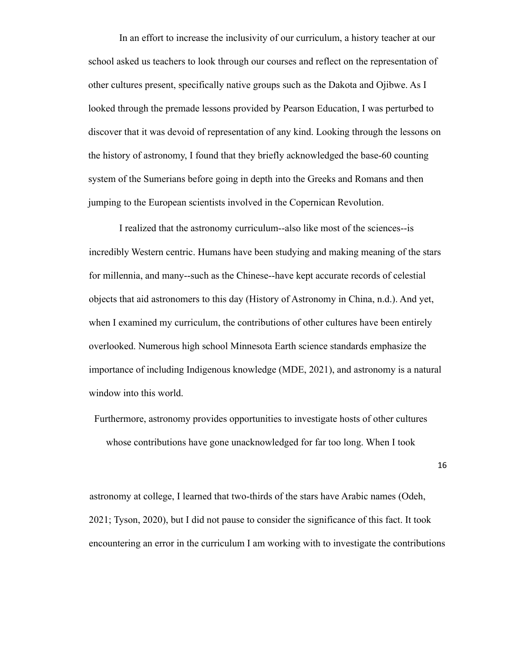In an effort to increase the inclusivity of our curriculum, a history teacher at our school asked us teachers to look through our courses and reflect on the representation of other cultures present, specifically native groups such as the Dakota and Ojibwe. As I looked through the premade lessons provided by Pearson Education, I was perturbed to discover that it was devoid of representation of any kind. Looking through the lessons on the history of astronomy, I found that they briefly acknowledged the base-60 counting system of the Sumerians before going in depth into the Greeks and Romans and then jumping to the European scientists involved in the Copernican Revolution.

I realized that the astronomy curriculum--also like most of the sciences--is incredibly Western centric. Humans have been studying and making meaning of the stars for millennia, and many--such as the Chinese--have kept accurate records of celestial objects that aid astronomers to this day (History of Astronomy in China, n.d.). And yet, when I examined my curriculum, the contributions of other cultures have been entirely overlooked. Numerous high school Minnesota Earth science standards emphasize the importance of including Indigenous knowledge (MDE, 2021), and astronomy is a natural window into this world.

Furthermore, astronomy provides opportunities to investigate hosts of other cultures whose contributions have gone unacknowledged for far too long. When I took

16

astronomy at college, I learned that two-thirds of the stars have Arabic names (Odeh, 2021; Tyson, 2020), but I did not pause to consider the significance of this fact. It took encountering an error in the curriculum I am working with to investigate the contributions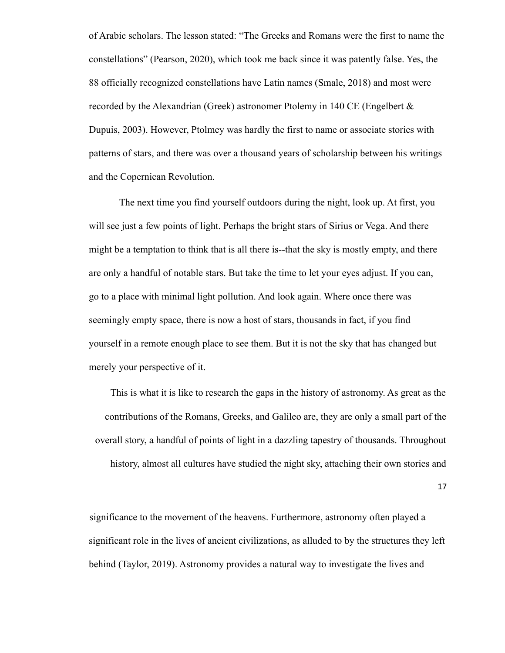of Arabic scholars. The lesson stated: "The Greeks and Romans were the first to name the constellations" (Pearson, 2020), which took me back since it was patently false. Yes, the 88 officially recognized constellations have Latin names (Smale, 2018) and most were recorded by the Alexandrian (Greek) astronomer Ptolemy in 140 CE (Engelbert & Dupuis, 2003). However, Ptolmey was hardly the first to name or associate stories with patterns of stars, and there was over a thousand years of scholarship between his writings and the Copernican Revolution.

The next time you find yourself outdoors during the night, look up. At first, you will see just a few points of light. Perhaps the bright stars of Sirius or Vega. And there might be a temptation to think that is all there is--that the sky is mostly empty, and there are only a handful of notable stars. But take the time to let your eyes adjust. If you can, go to a place with minimal light pollution. And look again. Where once there was seemingly empty space, there is now a host of stars, thousands in fact, if you find yourself in a remote enough place to see them. But it is not the sky that has changed but merely your perspective of it.

This is what it is like to research the gaps in the history of astronomy. As great as the contributions of the Romans, Greeks, and Galileo are, they are only a small part of the overall story, a handful of points of light in a dazzling tapestry of thousands. Throughout history, almost all cultures have studied the night sky, attaching their own stories and

17

significance to the movement of the heavens. Furthermore, astronomy often played a significant role in the lives of ancient civilizations, as alluded to by the structures they left behind (Taylor, 2019). Astronomy provides a natural way to investigate the lives and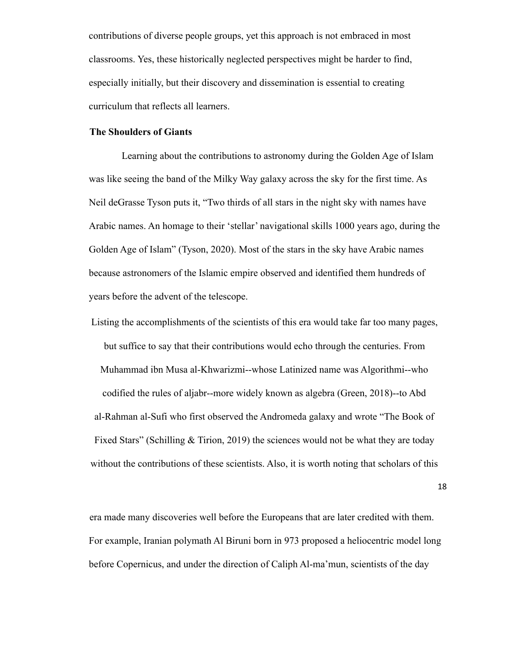contributions of diverse people groups, yet this approach is not embraced in most classrooms. Yes, these historically neglected perspectives might be harder to find, especially initially, but their discovery and dissemination is essential to creating curriculum that reflects all learners.

#### **The Shoulders of Giants**

Learning about the contributions to astronomy during the Golden Age of Islam was like seeing the band of the Milky Way galaxy across the sky for the first time. As Neil deGrasse Tyson puts it, "Two thirds of all stars in the night sky with names have Arabic names. An homage to their 'stellar' navigational skills 1000 years ago, during the Golden Age of Islam" (Tyson, 2020). Most of the stars in the sky have Arabic names because astronomers of the Islamic empire observed and identified them hundreds of years before the advent of the telescope.

Listing the accomplishments of the scientists of this era would take far too many pages, but suffice to say that their contributions would echo through the centuries. From Muhammad ibn Musa al-Khwarizmi--whose Latinized name was Algorithmi--who codified the rules of aljabr--more widely known as algebra (Green, 2018)--to Abd al-Rahman al-Sufi who first observed the Andromeda galaxy and wrote "The Book of Fixed Stars" (Schilling & Tirion, 2019) the sciences would not be what they are today without the contributions of these scientists. Also, it is worth noting that scholars of this

18

era made many discoveries well before the Europeans that are later credited with them. For example, Iranian polymath Al Biruni born in 973 proposed a heliocentric model long before Copernicus, and under the direction of Caliph Al-ma'mun, scientists of the day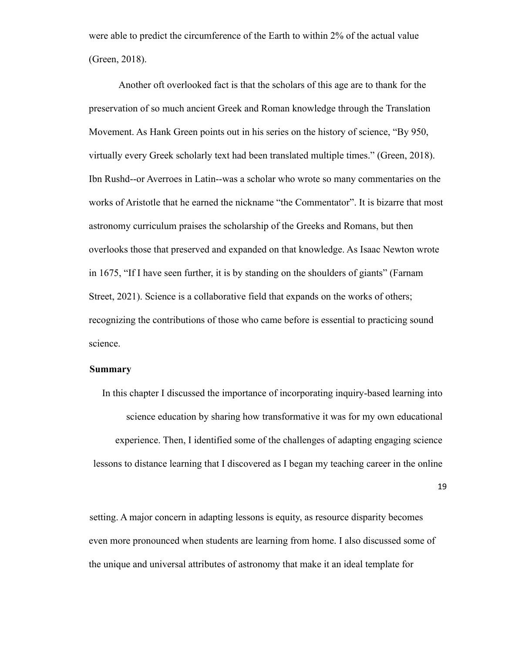were able to predict the circumference of the Earth to within 2% of the actual value (Green, 2018).

Another oft overlooked fact is that the scholars of this age are to thank for the preservation of so much ancient Greek and Roman knowledge through the Translation Movement. As Hank Green points out in his series on the history of science, "By 950, virtually every Greek scholarly text had been translated multiple times." (Green, 2018). Ibn Rushd--or Averroes in Latin--was a scholar who wrote so many commentaries on the works of Aristotle that he earned the nickname "the Commentator". It is bizarre that most astronomy curriculum praises the scholarship of the Greeks and Romans, but then overlooks those that preserved and expanded on that knowledge. As Isaac Newton wrote in 1675, "If I have seen further, it is by standing on the shoulders of giants" (Farnam Street, 2021). Science is a collaborative field that expands on the works of others; recognizing the contributions of those who came before is essential to practicing sound science.

#### **Summary**

In this chapter I discussed the importance of incorporating inquiry-based learning into science education by sharing how transformative it was for my own educational experience. Then, I identified some of the challenges of adapting engaging science lessons to distance learning that I discovered as I began my teaching career in the online

19

setting. A major concern in adapting lessons is equity, as resource disparity becomes even more pronounced when students are learning from home. I also discussed some of the unique and universal attributes of astronomy that make it an ideal template for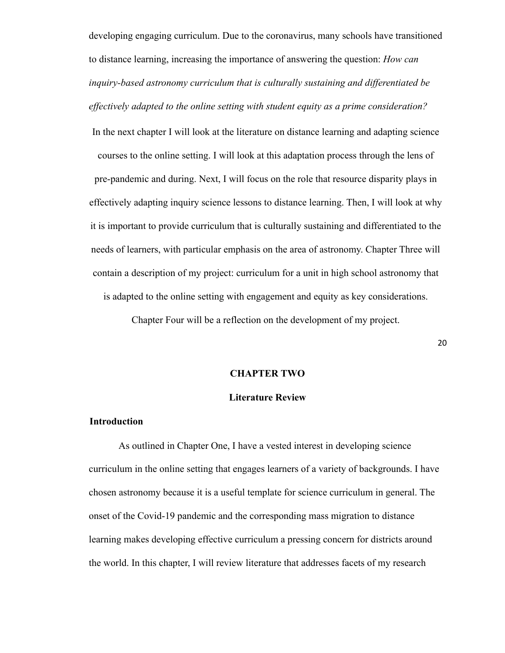developing engaging curriculum. Due to the coronavirus, many schools have transitioned to distance learning, increasing the importance of answering the question: *How can inquiry-based astronomy curriculum that is culturally sustaining and differentiated be effectively adapted to the online setting with student equity as a prime consideration?*

In the next chapter I will look at the literature on distance learning and adapting science courses to the online setting. I will look at this adaptation process through the lens of pre-pandemic and during. Next, I will focus on the role that resource disparity plays in effectively adapting inquiry science lessons to distance learning. Then, I will look at why it is important to provide curriculum that is culturally sustaining and differentiated to the needs of learners, with particular emphasis on the area of astronomy. Chapter Three will contain a description of my project: curriculum for a unit in high school astronomy that is adapted to the online setting with engagement and equity as key considerations.

Chapter Four will be a reflection on the development of my project.

#### **CHAPTER TWO**

#### **Literature Review**

#### **Introduction**

As outlined in Chapter One, I have a vested interest in developing science curriculum in the online setting that engages learners of a variety of backgrounds. I have chosen astronomy because it is a useful template for science curriculum in general. The onset of the Covid-19 pandemic and the corresponding mass migration to distance learning makes developing effective curriculum a pressing concern for districts around the world. In this chapter, I will review literature that addresses facets of my research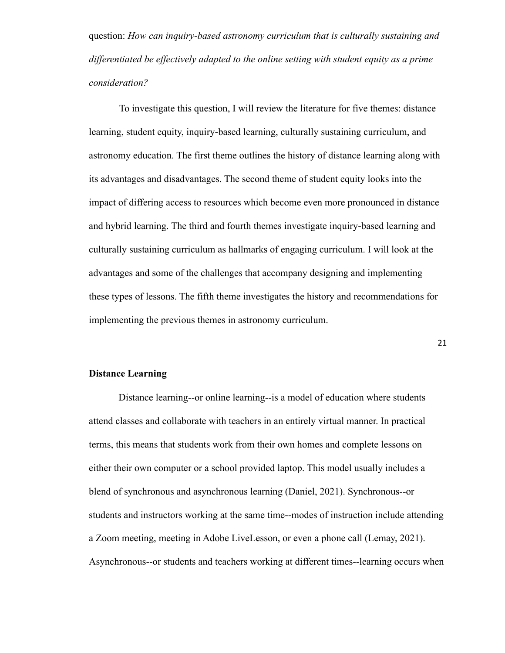question: *How can inquiry-based astronomy curriculum that is culturally sustaining and differentiated be effectively adapted to the online setting with student equity as a prime consideration?*

To investigate this question, I will review the literature for five themes: distance learning, student equity, inquiry-based learning, culturally sustaining curriculum, and astronomy education. The first theme outlines the history of distance learning along with its advantages and disadvantages. The second theme of student equity looks into the impact of differing access to resources which become even more pronounced in distance and hybrid learning. The third and fourth themes investigate inquiry-based learning and culturally sustaining curriculum as hallmarks of engaging curriculum. I will look at the advantages and some of the challenges that accompany designing and implementing these types of lessons. The fifth theme investigates the history and recommendations for implementing the previous themes in astronomy curriculum.

21

#### **Distance Learning**

Distance learning--or online learning--is a model of education where students attend classes and collaborate with teachers in an entirely virtual manner. In practical terms, this means that students work from their own homes and complete lessons on either their own computer or a school provided laptop. This model usually includes a blend of synchronous and asynchronous learning (Daniel, 2021). Synchronous--or students and instructors working at the same time--modes of instruction include attending a Zoom meeting, meeting in Adobe LiveLesson, or even a phone call (Lemay, 2021). Asynchronous--or students and teachers working at different times--learning occurs when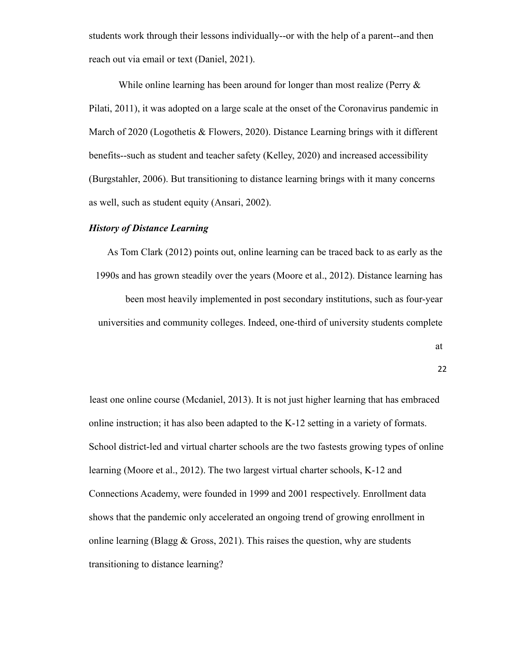students work through their lessons individually--or with the help of a parent--and then reach out via email or text (Daniel, 2021).

While online learning has been around for longer than most realize (Perry  $\&$ Pilati, 2011), it was adopted on a large scale at the onset of the Coronavirus pandemic in March of 2020 (Logothetis & Flowers, 2020). Distance Learning brings with it different benefits--such as student and teacher safety (Kelley, 2020) and increased accessibility (Burgstahler, 2006). But transitioning to distance learning brings with it many concerns as well, such as student equity (Ansari, 2002).

#### *History of Distance Learning*

As Tom Clark (2012) points out, online learning can be traced back to as early as the 1990s and has grown steadily over the years (Moore et al., 2012). Distance learning has been most heavily implemented in post secondary institutions, such as four-year universities and community colleges. Indeed, one-third of university students complete

at

22

least one online course (Mcdaniel, 2013). It is not just higher learning that has embraced online instruction; it has also been adapted to the K-12 setting in a variety of formats. School district-led and virtual charter schools are the two fastests growing types of online learning (Moore et al., 2012). The two largest virtual charter schools, K-12 and Connections Academy, were founded in 1999 and 2001 respectively. Enrollment data shows that the pandemic only accelerated an ongoing trend of growing enrollment in online learning (Blagg  $& Gross, 2021$ ). This raises the question, why are students transitioning to distance learning?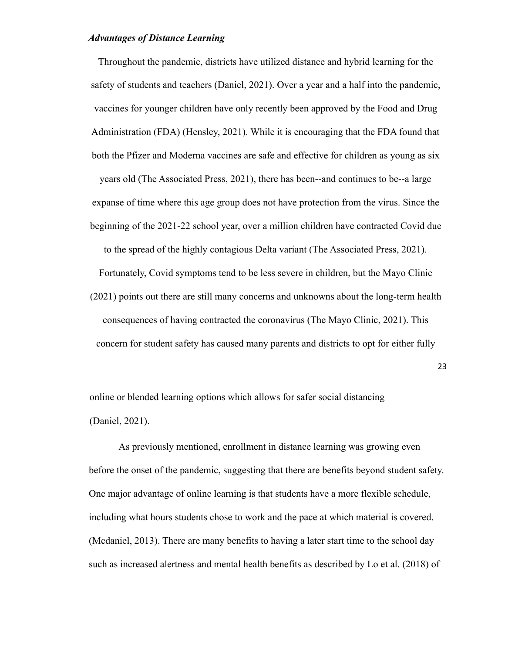#### *Advantages of Distance Learning*

Throughout the pandemic, districts have utilized distance and hybrid learning for the safety of students and teachers (Daniel, 2021). Over a year and a half into the pandemic, vaccines for younger children have only recently been approved by the Food and Drug Administration (FDA) (Hensley, 2021). While it is encouraging that the FDA found that both the Pfizer and Moderna vaccines are safe and effective for children as young as six years old (The Associated Press, 2021), there has been--and continues to be--a large expanse of time where this age group does not have protection from the virus. Since the beginning of the 2021-22 school year, over a million children have contracted Covid due to the spread of the highly contagious Delta variant (The Associated Press, 2021). Fortunately, Covid symptoms tend to be less severe in children, but the Mayo Clinic

(2021) points out there are still many concerns and unknowns about the long-term health consequences of having contracted the coronavirus (The Mayo Clinic, 2021). This concern for student safety has caused many parents and districts to opt for either fully

23

online or blended learning options which allows for safer social distancing (Daniel, 2021).

As previously mentioned, enrollment in distance learning was growing even before the onset of the pandemic, suggesting that there are benefits beyond student safety. One major advantage of online learning is that students have a more flexible schedule, including what hours students chose to work and the pace at which material is covered. (Mcdaniel, 2013). There are many benefits to having a later start time to the school day such as increased alertness and mental health benefits as described by Lo et al. (2018) of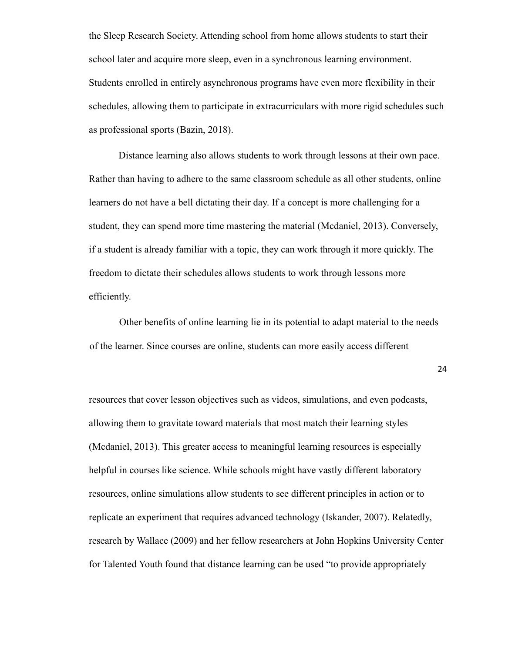the Sleep Research Society. Attending school from home allows students to start their school later and acquire more sleep, even in a synchronous learning environment. Students enrolled in entirely asynchronous programs have even more flexibility in their schedules, allowing them to participate in extracurriculars with more rigid schedules such as professional sports (Bazin, 2018).

Distance learning also allows students to work through lessons at their own pace. Rather than having to adhere to the same classroom schedule as all other students, online learners do not have a bell dictating their day. If a concept is more challenging for a student, they can spend more time mastering the material (Mcdaniel, 2013). Conversely, if a student is already familiar with a topic, they can work through it more quickly. The freedom to dictate their schedules allows students to work through lessons more efficiently.

Other benefits of online learning lie in its potential to adapt material to the needs of the learner. Since courses are online, students can more easily access different

24

resources that cover lesson objectives such as videos, simulations, and even podcasts, allowing them to gravitate toward materials that most match their learning styles (Mcdaniel, 2013). This greater access to meaningful learning resources is especially helpful in courses like science. While schools might have vastly different laboratory resources, online simulations allow students to see different principles in action or to replicate an experiment that requires advanced technology (Iskander, 2007). Relatedly, research by Wallace (2009) and her fellow researchers at John Hopkins University Center for Talented Youth found that distance learning can be used "to provide appropriately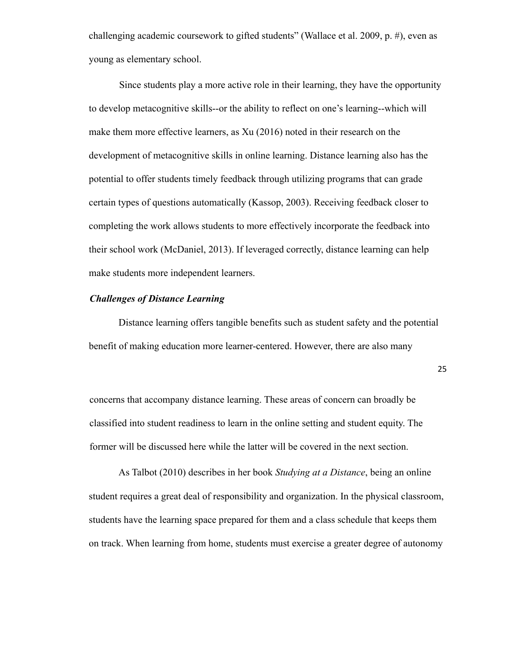challenging academic coursework to gifted students" (Wallace et al. 2009, p. #), even as young as elementary school.

Since students play a more active role in their learning, they have the opportunity to develop metacognitive skills--or the ability to reflect on one's learning--which will make them more effective learners, as Xu (2016) noted in their research on the development of metacognitive skills in online learning. Distance learning also has the potential to offer students timely feedback through utilizing programs that can grade certain types of questions automatically (Kassop, 2003). Receiving feedback closer to completing the work allows students to more effectively incorporate the feedback into their school work (McDaniel, 2013). If leveraged correctly, distance learning can help make students more independent learners.

#### *Challenges of Distance Learning*

Distance learning offers tangible benefits such as student safety and the potential benefit of making education more learner-centered. However, there are also many

25

concerns that accompany distance learning. These areas of concern can broadly be classified into student readiness to learn in the online setting and student equity. The former will be discussed here while the latter will be covered in the next section.

As Talbot (2010) describes in her book *Studying at a Distance*, being an online student requires a great deal of responsibility and organization. In the physical classroom, students have the learning space prepared for them and a class schedule that keeps them on track. When learning from home, students must exercise a greater degree of autonomy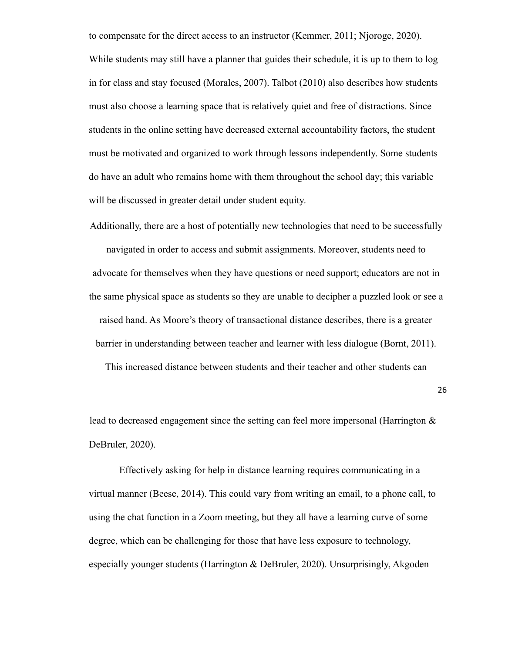to compensate for the direct access to an instructor (Kemmer, 2011; Njoroge, 2020). While students may still have a planner that guides their schedule, it is up to them to log in for class and stay focused (Morales, 2007). Talbot (2010) also describes how students must also choose a learning space that is relatively quiet and free of distractions. Since students in the online setting have decreased external accountability factors, the student must be motivated and organized to work through lessons independently. Some students do have an adult who remains home with them throughout the school day; this variable will be discussed in greater detail under student equity.

Additionally, there are a host of potentially new technologies that need to be successfully

navigated in order to access and submit assignments. Moreover, students need to advocate for themselves when they have questions or need support; educators are not in the same physical space as students so they are unable to decipher a puzzled look or see a raised hand. As Moore's theory of transactional distance describes, there is a greater barrier in understanding between teacher and learner with less dialogue (Bornt, 2011).

This increased distance between students and their teacher and other students can

26

lead to decreased engagement since the setting can feel more impersonal (Harrington & DeBruler, 2020).

Effectively asking for help in distance learning requires communicating in a virtual manner (Beese, 2014). This could vary from writing an email, to a phone call, to using the chat function in a Zoom meeting, but they all have a learning curve of some degree, which can be challenging for those that have less exposure to technology, especially younger students (Harrington & DeBruler, 2020). Unsurprisingly, Akgoden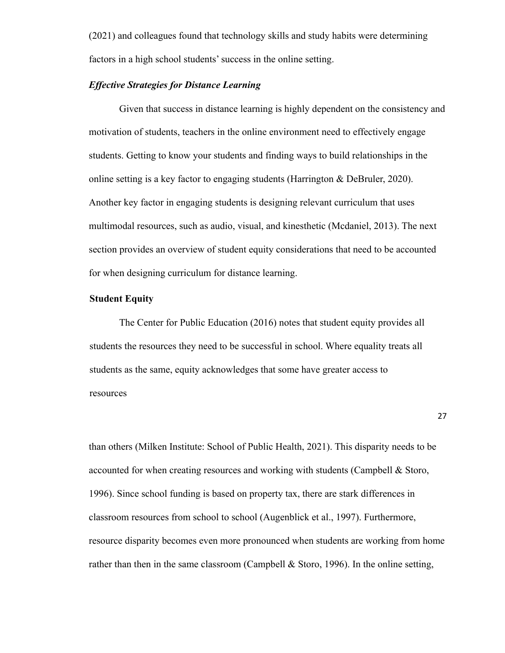(2021) and colleagues found that technology skills and study habits were determining factors in a high school students' success in the online setting.

#### *Effective Strategies for Distance Learning*

Given that success in distance learning is highly dependent on the consistency and motivation of students, teachers in the online environment need to effectively engage students. Getting to know your students and finding ways to build relationships in the online setting is a key factor to engaging students (Harrington & DeBruler, 2020). Another key factor in engaging students is designing relevant curriculum that uses multimodal resources, such as audio, visual, and kinesthetic (Mcdaniel, 2013). The next section provides an overview of student equity considerations that need to be accounted for when designing curriculum for distance learning.

#### **Student Equity**

The Center for Public Education (2016) notes that student equity provides all students the resources they need to be successful in school. Where equality treats all students as the same, equity acknowledges that some have greater access to resources

27

than others (Milken Institute: School of Public Health, 2021). This disparity needs to be accounted for when creating resources and working with students (Campbell & Storo, 1996). Since school funding is based on property tax, there are stark differences in classroom resources from school to school (Augenblick et al., 1997). Furthermore, resource disparity becomes even more pronounced when students are working from home rather than then in the same classroom (Campbell  $&$  Storo, 1996). In the online setting,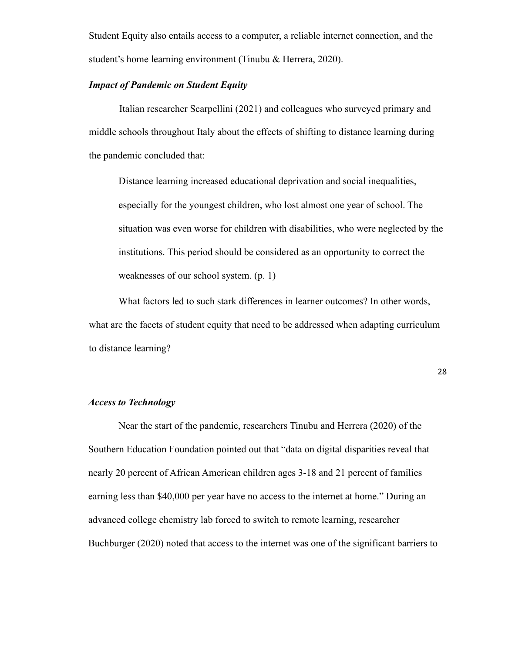Student Equity also entails access to a computer, a reliable internet connection, and the student's home learning environment (Tinubu & Herrera, 2020).

#### *Impact of Pandemic on Student Equity*

Italian researcher Scarpellini (2021) and colleagues who surveyed primary and middle schools throughout Italy about the effects of shifting to distance learning during the pandemic concluded that:

Distance learning increased educational deprivation and social inequalities, especially for the youngest children, who lost almost one year of school. The situation was even worse for children with disabilities, who were neglected by the institutions. This period should be considered as an opportunity to correct the weaknesses of our school system. (p. 1)

What factors led to such stark differences in learner outcomes? In other words, what are the facets of student equity that need to be addressed when adapting curriculum to distance learning?

28

#### *Access to Technology*

Near the start of the pandemic, researchers Tinubu and Herrera (2020) of the Southern Education Foundation pointed out that "data on digital disparities reveal that nearly 20 percent of African American children ages 3-18 and 21 percent of families earning less than \$40,000 per year have no access to the internet at home." During an advanced college chemistry lab forced to switch to remote learning, researcher Buchburger (2020) noted that access to the internet was one of the significant barriers to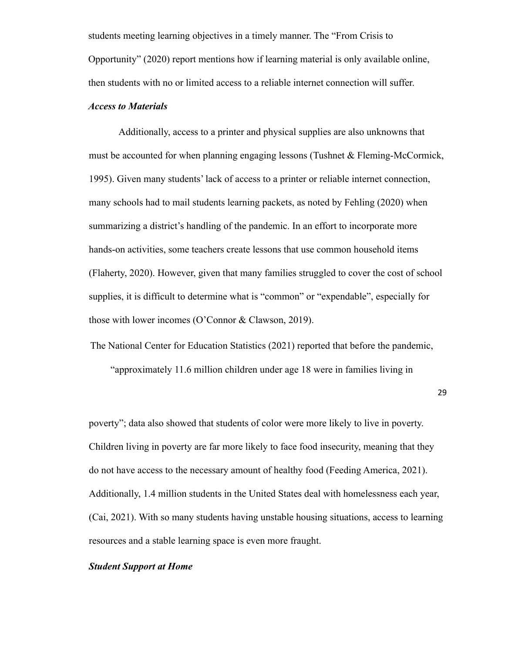students meeting learning objectives in a timely manner. The "From Crisis to Opportunity" (2020) report mentions how if learning material is only available online, then students with no or limited access to a reliable internet connection will suffer.

#### *Access to Materials*

Additionally, access to a printer and physical supplies are also unknowns that must be accounted for when planning engaging lessons (Tushnet & Fleming-McCormick, 1995). Given many students' lack of access to a printer or reliable internet connection, many schools had to mail students learning packets, as noted by Fehling (2020) when summarizing a district's handling of the pandemic. In an effort to incorporate more hands-on activities, some teachers create lessons that use common household items (Flaherty, 2020). However, given that many families struggled to cover the cost of school supplies, it is difficult to determine what is "common" or "expendable", especially for those with lower incomes (O'Connor & Clawson, 2019).

The National Center for Education Statistics (2021) reported that before the pandemic,

"approximately 11.6 million children under age 18 were in families living in

29

poverty"; data also showed that students of color were more likely to live in poverty. Children living in poverty are far more likely to face food insecurity, meaning that they do not have access to the necessary amount of healthy food (Feeding America, 2021). Additionally, 1.4 million students in the United States deal with homelessness each year, (Cai, 2021). With so many students having unstable housing situations, access to learning resources and a stable learning space is even more fraught.

#### *Student Support at Home*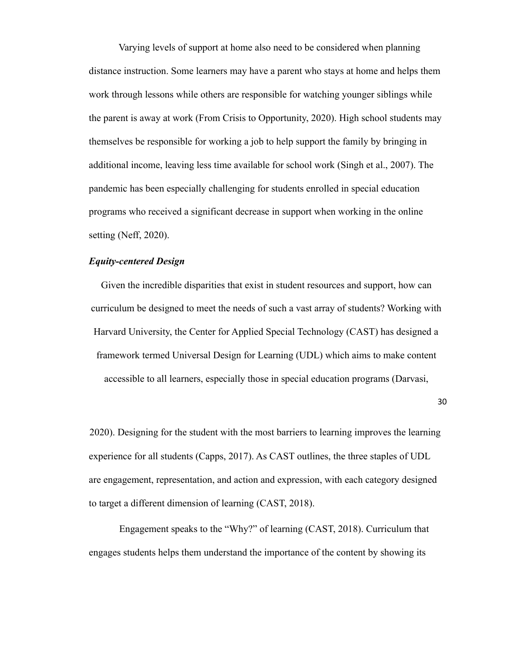Varying levels of support at home also need to be considered when planning distance instruction. Some learners may have a parent who stays at home and helps them work through lessons while others are responsible for watching younger siblings while the parent is away at work (From Crisis to Opportunity, 2020). High school students may themselves be responsible for working a job to help support the family by bringing in additional income, leaving less time available for school work (Singh et al., 2007). The pandemic has been especially challenging for students enrolled in special education programs who received a significant decrease in support when working in the online setting (Neff, 2020).

#### *Equity-centered Design*

Given the incredible disparities that exist in student resources and support, how can curriculum be designed to meet the needs of such a vast array of students? Working with Harvard University, the Center for Applied Special Technology (CAST) has designed a framework termed Universal Design for Learning (UDL) which aims to make content accessible to all learners, especially those in special education programs (Darvasi,

30

2020). Designing for the student with the most barriers to learning improves the learning experience for all students (Capps, 2017). As CAST outlines, the three staples of UDL are engagement, representation, and action and expression, with each category designed to target a different dimension of learning (CAST, 2018).

Engagement speaks to the "Why?" of learning (CAST, 2018). Curriculum that engages students helps them understand the importance of the content by showing its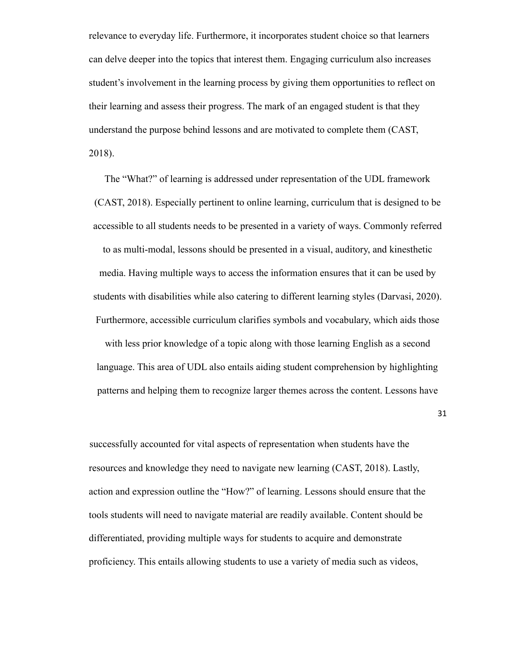relevance to everyday life. Furthermore, it incorporates student choice so that learners can delve deeper into the topics that interest them. Engaging curriculum also increases student's involvement in the learning process by giving them opportunities to reflect on their learning and assess their progress. The mark of an engaged student is that they understand the purpose behind lessons and are motivated to complete them (CAST, 2018).

The "What?" of learning is addressed under representation of the UDL framework (CAST, 2018). Especially pertinent to online learning, curriculum that is designed to be accessible to all students needs to be presented in a variety of ways. Commonly referred to as multi-modal, lessons should be presented in a visual, auditory, and kinesthetic media. Having multiple ways to access the information ensures that it can be used by students with disabilities while also catering to different learning styles (Darvasi, 2020). Furthermore, accessible curriculum clarifies symbols and vocabulary, which aids those

with less prior knowledge of a topic along with those learning English as a second language. This area of UDL also entails aiding student comprehension by highlighting patterns and helping them to recognize larger themes across the content. Lessons have

31

successfully accounted for vital aspects of representation when students have the resources and knowledge they need to navigate new learning (CAST, 2018). Lastly, action and expression outline the "How?" of learning. Lessons should ensure that the tools students will need to navigate material are readily available. Content should be differentiated, providing multiple ways for students to acquire and demonstrate proficiency. This entails allowing students to use a variety of media such as videos,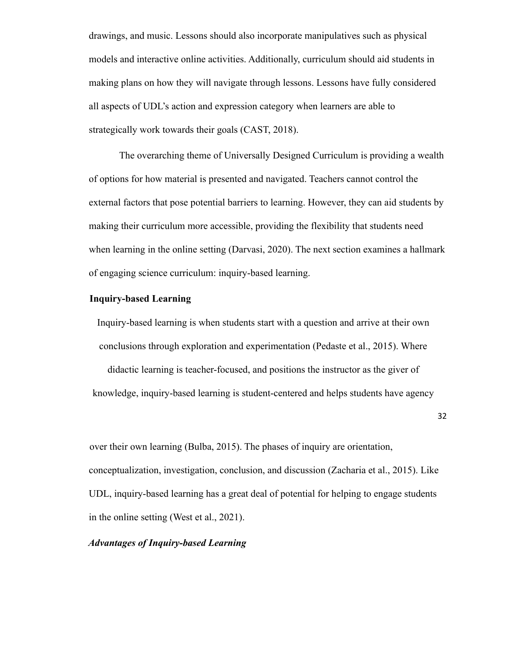drawings, and music. Lessons should also incorporate manipulatives such as physical models and interactive online activities. Additionally, curriculum should aid students in making plans on how they will navigate through lessons. Lessons have fully considered all aspects of UDL's action and expression category when learners are able to strategically work towards their goals (CAST, 2018).

The overarching theme of Universally Designed Curriculum is providing a wealth of options for how material is presented and navigated. Teachers cannot control the external factors that pose potential barriers to learning. However, they can aid students by making their curriculum more accessible, providing the flexibility that students need when learning in the online setting (Darvasi, 2020). The next section examines a hallmark of engaging science curriculum: inquiry-based learning.

#### **Inquiry-based Learning**

Inquiry-based learning is when students start with a question and arrive at their own conclusions through exploration and experimentation (Pedaste et al., 2015). Where

didactic learning is teacher-focused, and positions the instructor as the giver of knowledge, inquiry-based learning is student-centered and helps students have agency

32

over their own learning (Bulba, 2015). The phases of inquiry are orientation, conceptualization, investigation, conclusion, and discussion (Zacharia et al., 2015). Like UDL, inquiry-based learning has a great deal of potential for helping to engage students in the online setting (West et al., 2021).

#### *Advantages of Inquiry-based Learning*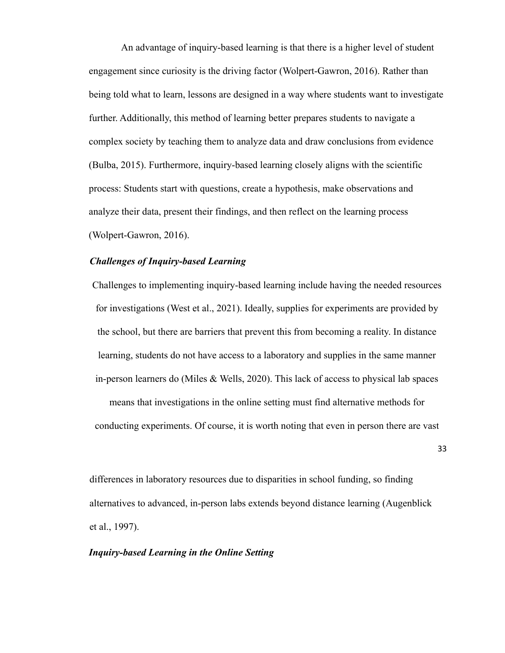An advantage of inquiry-based learning is that there is a higher level of student engagement since curiosity is the driving factor (Wolpert-Gawron, 2016). Rather than being told what to learn, lessons are designed in a way where students want to investigate further. Additionally, this method of learning better prepares students to navigate a complex society by teaching them to analyze data and draw conclusions from evidence (Bulba, 2015). Furthermore, inquiry-based learning closely aligns with the scientific process: Students start with questions, create a hypothesis, make observations and analyze their data, present their findings, and then reflect on the learning process (Wolpert-Gawron, 2016).

#### *Challenges of Inquiry-based Learning*

Challenges to implementing inquiry-based learning include having the needed resources for investigations (West et al., 2021). Ideally, supplies for experiments are provided by the school, but there are barriers that prevent this from becoming a reality. In distance learning, students do not have access to a laboratory and supplies in the same manner in-person learners do (Miles & Wells, 2020). This lack of access to physical lab spaces means that investigations in the online setting must find alternative methods for conducting experiments. Of course, it is worth noting that even in person there are vast

33

differences in laboratory resources due to disparities in school funding, so finding alternatives to advanced, in-person labs extends beyond distance learning (Augenblick et al., 1997).

#### *Inquiry-based Learning in the Online Setting*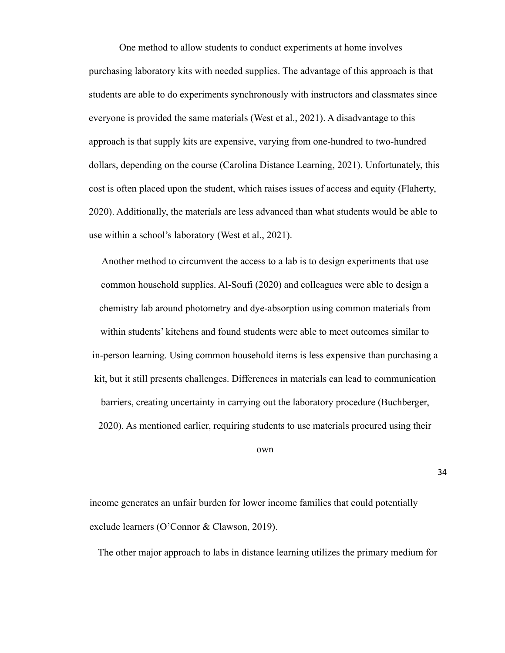One method to allow students to conduct experiments at home involves purchasing laboratory kits with needed supplies. The advantage of this approach is that students are able to do experiments synchronously with instructors and classmates since everyone is provided the same materials (West et al., 2021). A disadvantage to this approach is that supply kits are expensive, varying from one-hundred to two-hundred dollars, depending on the course (Carolina Distance Learning, 2021). Unfortunately, this cost is often placed upon the student, which raises issues of access and equity (Flaherty, 2020). Additionally, the materials are less advanced than what students would be able to use within a school's laboratory (West et al., 2021).

Another method to circumvent the access to a lab is to design experiments that use common household supplies. Al-Soufi (2020) and colleagues were able to design a chemistry lab around photometry and dye-absorption using common materials from within students' kitchens and found students were able to meet outcomes similar to in-person learning. Using common household items is less expensive than purchasing a kit, but it still presents challenges. Differences in materials can lead to communication barriers, creating uncertainty in carrying out the laboratory procedure (Buchberger, 2020). As mentioned earlier, requiring students to use materials procured using their

own

34

income generates an unfair burden for lower income families that could potentially exclude learners (O'Connor & Clawson, 2019).

The other major approach to labs in distance learning utilizes the primary medium for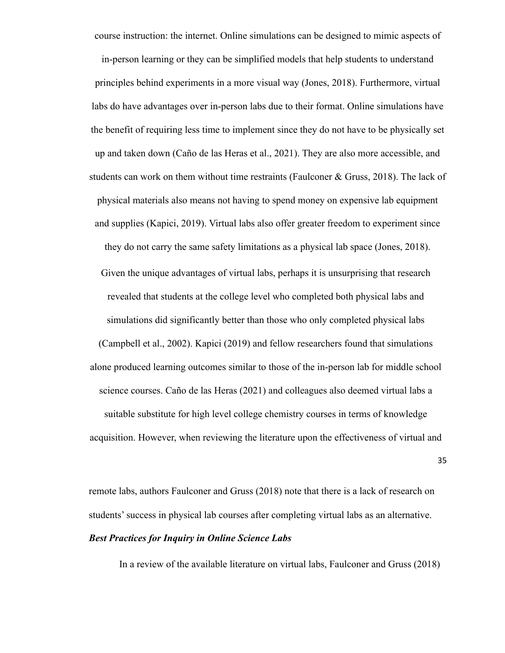course instruction: the internet. Online simulations can be designed to mimic aspects of

in-person learning or they can be simplified models that help students to understand principles behind experiments in a more visual way (Jones, 2018). Furthermore, virtual labs do have advantages over in-person labs due to their format. Online simulations have the benefit of requiring less time to implement since they do not have to be physically set up and taken down (Caño de las Heras et al., 2021). They are also more accessible, and students can work on them without time restraints (Faulconer & Gruss, 2018). The lack of physical materials also means not having to spend money on expensive lab equipment and supplies (Kapici, 2019). Virtual labs also offer greater freedom to experiment since they do not carry the same safety limitations as a physical lab space (Jones, 2018). Given the unique advantages of virtual labs, perhaps it is unsurprising that research revealed that students at the college level who completed both physical labs and simulations did significantly better than those who only completed physical labs (Campbell et al., 2002). Kapici (2019) and fellow researchers found that simulations alone produced learning outcomes similar to those of the in-person lab for middle school science courses. Caño de las Heras (2021) and colleagues also deemed virtual labs a suitable substitute for high level college chemistry courses in terms of knowledge acquisition. However, when reviewing the literature upon the effectiveness of virtual and

35

remote labs, authors Faulconer and Gruss (2018) note that there is a lack of research on students' success in physical lab courses after completing virtual labs as an alternative.

#### *Best Practices for Inquiry in Online Science Labs*

In a review of the available literature on virtual labs, Faulconer and Gruss (2018)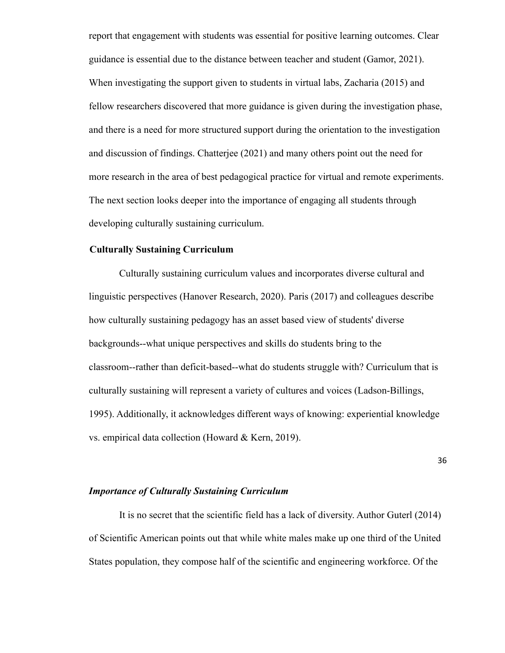report that engagement with students was essential for positive learning outcomes. Clear guidance is essential due to the distance between teacher and student (Gamor, 2021). When investigating the support given to students in virtual labs, Zacharia (2015) and fellow researchers discovered that more guidance is given during the investigation phase, and there is a need for more structured support during the orientation to the investigation and discussion of findings. Chatterjee (2021) and many others point out the need for more research in the area of best pedagogical practice for virtual and remote experiments. The next section looks deeper into the importance of engaging all students through developing culturally sustaining curriculum.

#### **Culturally Sustaining Curriculum**

Culturally sustaining curriculum values and incorporates diverse cultural and linguistic perspectives (Hanover Research, 2020). Paris (2017) and colleagues describe how culturally sustaining pedagogy has an asset based view of students' diverse backgrounds--what unique perspectives and skills do students bring to the classroom--rather than deficit-based--what do students struggle with? Curriculum that is culturally sustaining will represent a variety of cultures and voices (Ladson-Billings, 1995). Additionally, it acknowledges different ways of knowing: experiential knowledge vs. empirical data collection (Howard & Kern, 2019).

36

#### *Importance of Culturally Sustaining Curriculum*

It is no secret that the scientific field has a lack of diversity. Author Guterl (2014) of Scientific American points out that while white males make up one third of the United States population, they compose half of the scientific and engineering workforce. Of the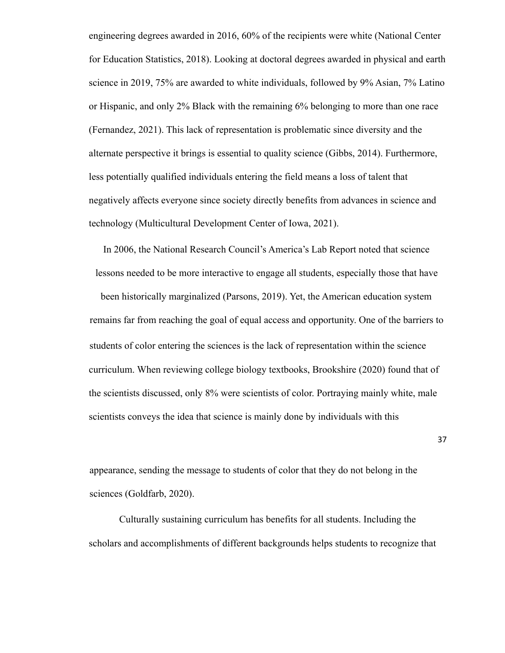engineering degrees awarded in 2016, 60% of the recipients were white (National Center for Education Statistics, 2018). Looking at doctoral degrees awarded in physical and earth science in 2019, 75% are awarded to white individuals, followed by 9% Asian, 7% Latino or Hispanic, and only 2% Black with the remaining 6% belonging to more than one race (Fernandez, 2021). This lack of representation is problematic since diversity and the alternate perspective it brings is essential to quality science (Gibbs, 2014). Furthermore, less potentially qualified individuals entering the field means a loss of talent that negatively affects everyone since society directly benefits from advances in science and technology (Multicultural Development Center of Iowa, 2021).

In 2006, the National Research Council's America's Lab Report noted that science lessons needed to be more interactive to engage all students, especially those that have been historically marginalized (Parsons, 2019). Yet, the American education system remains far from reaching the goal of equal access and opportunity. One of the barriers to students of color entering the sciences is the lack of representation within the science curriculum. When reviewing college biology textbooks, Brookshire (2020) found that of the scientists discussed, only 8% were scientists of color. Portraying mainly white, male scientists conveys the idea that science is mainly done by individuals with this

appearance, sending the message to students of color that they do not belong in the sciences (Goldfarb, 2020).

Culturally sustaining curriculum has benefits for all students. Including the scholars and accomplishments of different backgrounds helps students to recognize that

37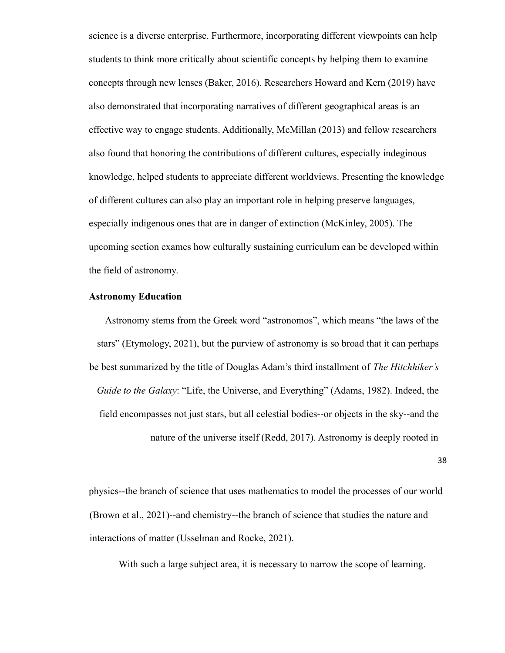science is a diverse enterprise. Furthermore, incorporating different viewpoints can help students to think more critically about scientific concepts by helping them to examine concepts through new lenses (Baker, 2016). Researchers Howard and Kern (2019) have also demonstrated that incorporating narratives of different geographical areas is an effective way to engage students. Additionally, McMillan (2013) and fellow researchers also found that honoring the contributions of different cultures, especially indeginous knowledge, helped students to appreciate different worldviews. Presenting the knowledge of different cultures can also play an important role in helping preserve languages, especially indigenous ones that are in danger of extinction (McKinley, 2005). The upcoming section exames how culturally sustaining curriculum can be developed within the field of astronomy.

#### **Astronomy Education**

Astronomy stems from the Greek word "astronomos", which means "the laws of the stars" (Etymology, 2021), but the purview of astronomy is so broad that it can perhaps be best summarized by the title of Douglas Adam's third installment of *The Hitchhiker's Guide to the Galaxy*: "Life, the Universe, and Everything" (Adams, 1982). Indeed, the field encompasses not just stars, but all celestial bodies--or objects in the sky--and the nature of the universe itself (Redd, 2017). Astronomy is deeply rooted in

38

physics--the branch of science that uses mathematics to model the processes of our world (Brown et al., 2021)--and chemistry--the branch of science that studies the nature and interactions of matter (Usselman and Rocke, 2021).

With such a large subject area, it is necessary to narrow the scope of learning.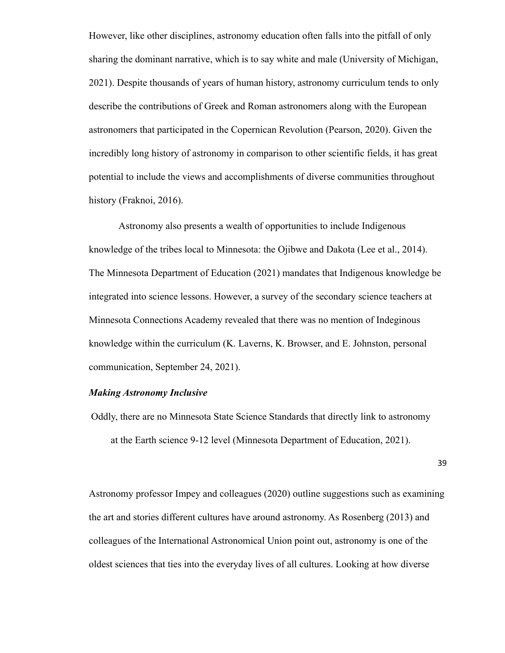However, like other disciplines, astronomy education often falls into the pitfall of only sharing the dominant narrative, which is to say white and male (University of Michigan, 2021). Despite thousands of years of human history, astronomy curriculum tends to only describe the contributions of Greek and Roman astronomers along with the European astronomers that participated in the Copernican Revolution (Pearson, 2020). Given the incredibly long history of astronomy in comparison to other scientific fields, it has great potential to include the views and accomplishments of diverse communities throughout history (Fraknoi, 2016).

Astronomy also presents a wealth of opportunities to include Indigenous knowledge of the tribes local to Minnesota: the Ojibwe and Dakota (Lee et al., 2014). The Minnesota Department of Education (2021) mandates that Indigenous knowledge be integrated into science lessons. However, a survey of the secondary science teachers at Minnesota Connections Academy revealed that there was no mention of Indeginous knowledge within the curriculum (K. Laverns, K. Browser, and E. Johnston, personal communication, September 24, 2021).

### *Making Astronomy Inclusive*

Oddly, there are no Minnesota State Science Standards that directly link to astronomy at the Earth science 9-12 level (Minnesota Department of Education, 2021).

39

Astronomy professor Impey and colleagues (2020) outline suggestions such as examining the art and stories different cultures have around astronomy. As Rosenberg (2013) and colleagues of the International Astronomical Union point out, astronomy is one of the oldest sciences that ties into the everyday lives of all cultures. Looking at how diverse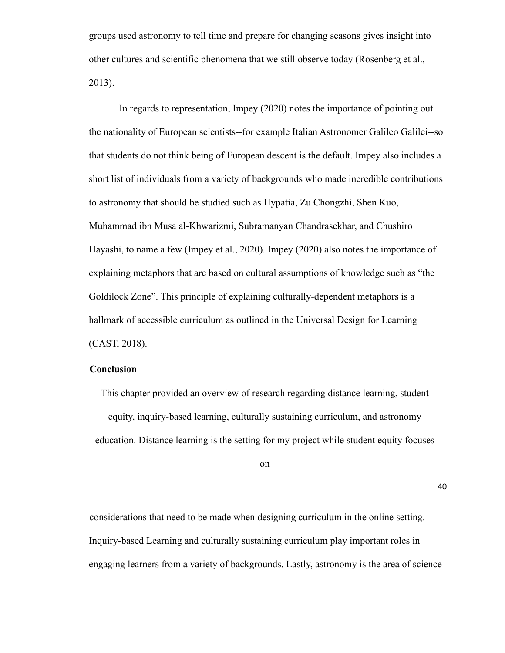groups used astronomy to tell time and prepare for changing seasons gives insight into other cultures and scientific phenomena that we still observe today (Rosenberg et al., 2013).

In regards to representation, Impey (2020) notes the importance of pointing out the nationality of European scientists--for example Italian Astronomer Galileo Galilei--so that students do not think being of European descent is the default. Impey also includes a short list of individuals from a variety of backgrounds who made incredible contributions to astronomy that should be studied such as Hypatia, Zu Chongzhi, Shen Kuo, Muhammad ibn Musa al-Khwarizmi, Subramanyan Chandrasekhar, and Chushiro Hayashi, to name a few (Impey et al., 2020). Impey (2020) also notes the importance of explaining metaphors that are based on cultural assumptions of knowledge such as "the Goldilock Zone". This principle of explaining culturally-dependent metaphors is a hallmark of accessible curriculum as outlined in the Universal Design for Learning (CAST, 2018).

# **Conclusion**

This chapter provided an overview of research regarding distance learning, student equity, inquiry-based learning, culturally sustaining curriculum, and astronomy education. Distance learning is the setting for my project while student equity focuses

on

40

considerations that need to be made when designing curriculum in the online setting. Inquiry-based Learning and culturally sustaining curriculum play important roles in engaging learners from a variety of backgrounds. Lastly, astronomy is the area of science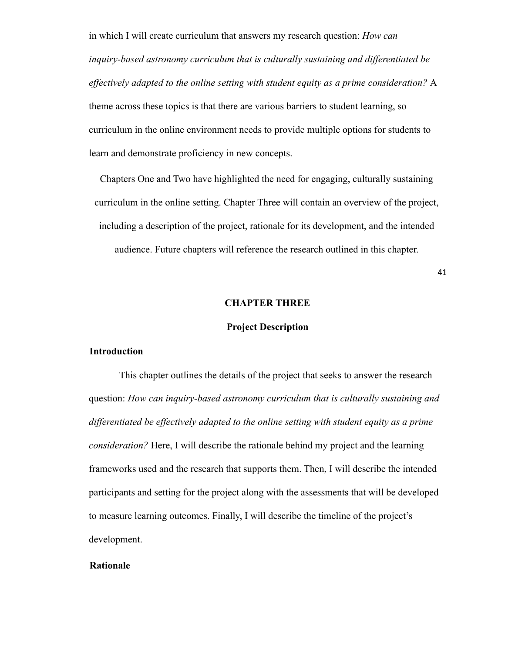in which I will create curriculum that answers my research question: *How can inquiry-based astronomy curriculum that is culturally sustaining and differentiated be effectively adapted to the online setting with student equity as a prime consideration?* A theme across these topics is that there are various barriers to student learning, so curriculum in the online environment needs to provide multiple options for students to learn and demonstrate proficiency in new concepts.

Chapters One and Two have highlighted the need for engaging, culturally sustaining curriculum in the online setting. Chapter Three will contain an overview of the project, including a description of the project, rationale for its development, and the intended audience. Future chapters will reference the research outlined in this chapter.

41

# **CHAPTER THREE**

# **Project Description**

### **Introduction**

This chapter outlines the details of the project that seeks to answer the research question: *How can inquiry-based astronomy curriculum that is culturally sustaining and differentiated be effectively adapted to the online setting with student equity as a prime consideration?* Here, I will describe the rationale behind my project and the learning frameworks used and the research that supports them. Then, I will describe the intended participants and setting for the project along with the assessments that will be developed to measure learning outcomes. Finally, I will describe the timeline of the project's development.

## **Rationale**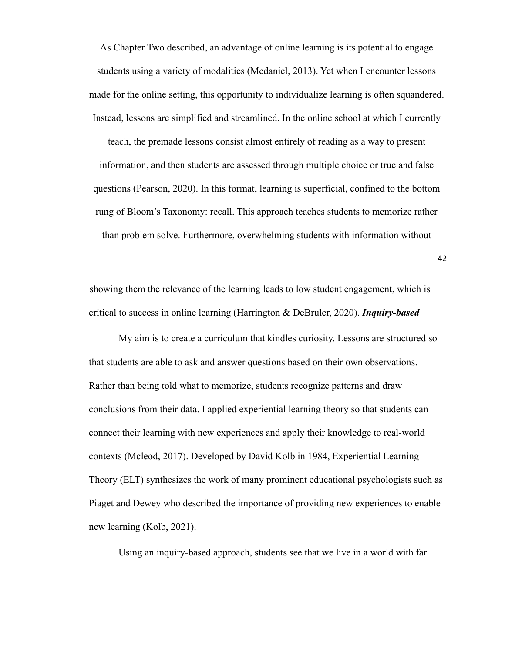As Chapter Two described, an advantage of online learning is its potential to engage students using a variety of modalities (Mcdaniel, 2013). Yet when I encounter lessons made for the online setting, this opportunity to individualize learning is often squandered. Instead, lessons are simplified and streamlined. In the online school at which I currently

teach, the premade lessons consist almost entirely of reading as a way to present information, and then students are assessed through multiple choice or true and false questions (Pearson, 2020). In this format, learning is superficial, confined to the bottom rung of Bloom's Taxonomy: recall. This approach teaches students to memorize rather than problem solve. Furthermore, overwhelming students with information without

showing them the relevance of the learning leads to low student engagement, which is critical to success in online learning (Harrington & DeBruler, 2020). *Inquiry-based*

My aim is to create a curriculum that kindles curiosity. Lessons are structured so that students are able to ask and answer questions based on their own observations. Rather than being told what to memorize, students recognize patterns and draw conclusions from their data. I applied experiential learning theory so that students can connect their learning with new experiences and apply their knowledge to real-world contexts (Mcleod, 2017). Developed by David Kolb in 1984, Experiential Learning Theory (ELT) synthesizes the work of many prominent educational psychologists such as Piaget and Dewey who described the importance of providing new experiences to enable new learning (Kolb, 2021).

Using an inquiry-based approach, students see that we live in a world with far

42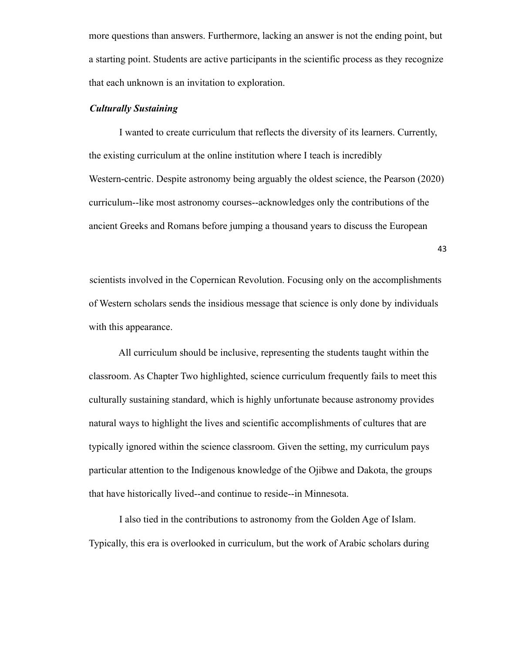more questions than answers. Furthermore, lacking an answer is not the ending point, but a starting point. Students are active participants in the scientific process as they recognize that each unknown is an invitation to exploration.

## *Culturally Sustaining*

I wanted to create curriculum that reflects the diversity of its learners. Currently, the existing curriculum at the online institution where I teach is incredibly Western-centric. Despite astronomy being arguably the oldest science, the Pearson (2020) curriculum--like most astronomy courses--acknowledges only the contributions of the ancient Greeks and Romans before jumping a thousand years to discuss the European

43

scientists involved in the Copernican Revolution. Focusing only on the accomplishments of Western scholars sends the insidious message that science is only done by individuals with this appearance.

All curriculum should be inclusive, representing the students taught within the classroom. As Chapter Two highlighted, science curriculum frequently fails to meet this culturally sustaining standard, which is highly unfortunate because astronomy provides natural ways to highlight the lives and scientific accomplishments of cultures that are typically ignored within the science classroom. Given the setting, my curriculum pays particular attention to the Indigenous knowledge of the Ojibwe and Dakota, the groups that have historically lived--and continue to reside--in Minnesota.

I also tied in the contributions to astronomy from the Golden Age of Islam. Typically, this era is overlooked in curriculum, but the work of Arabic scholars during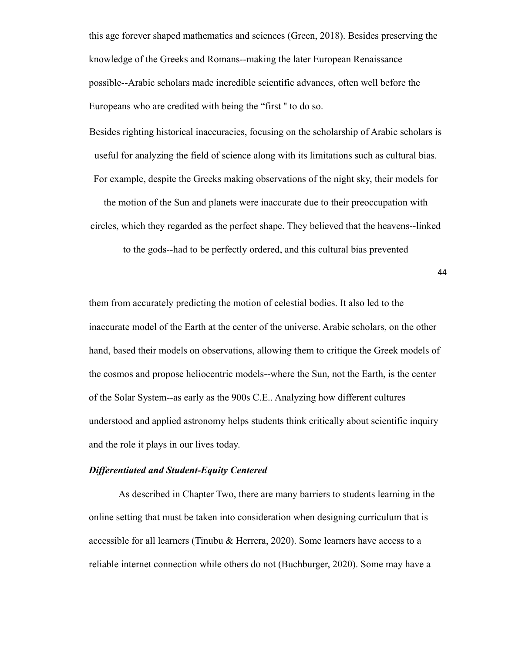this age forever shaped mathematics and sciences (Green, 2018). Besides preserving the knowledge of the Greeks and Romans--making the later European Renaissance possible--Arabic scholars made incredible scientific advances, often well before the Europeans who are credited with being the "first '' to do so.

Besides righting historical inaccuracies, focusing on the scholarship of Arabic scholars is useful for analyzing the field of science along with its limitations such as cultural bias. For example, despite the Greeks making observations of the night sky, their models for

the motion of the Sun and planets were inaccurate due to their preoccupation with circles, which they regarded as the perfect shape. They believed that the heavens--linked

to the gods--had to be perfectly ordered, and this cultural bias prevented

44

them from accurately predicting the motion of celestial bodies. It also led to the inaccurate model of the Earth at the center of the universe. Arabic scholars, on the other hand, based their models on observations, allowing them to critique the Greek models of the cosmos and propose heliocentric models--where the Sun, not the Earth, is the center of the Solar System--as early as the 900s C.E.. Analyzing how different cultures understood and applied astronomy helps students think critically about scientific inquiry and the role it plays in our lives today.

# *Differentiated and Student-Equity Centered*

As described in Chapter Two, there are many barriers to students learning in the online setting that must be taken into consideration when designing curriculum that is accessible for all learners (Tinubu & Herrera, 2020). Some learners have access to a reliable internet connection while others do not (Buchburger, 2020). Some may have a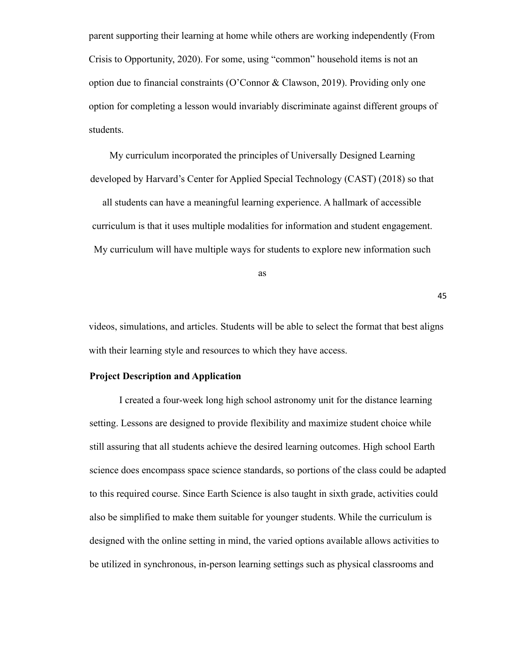parent supporting their learning at home while others are working independently (From Crisis to Opportunity, 2020). For some, using "common" household items is not an option due to financial constraints (O'Connor & Clawson, 2019). Providing only one option for completing a lesson would invariably discriminate against different groups of students.

My curriculum incorporated the principles of Universally Designed Learning developed by Harvard's Center for Applied Special Technology (CAST) (2018) so that

all students can have a meaningful learning experience. A hallmark of accessible curriculum is that it uses multiple modalities for information and student engagement. My curriculum will have multiple ways for students to explore new information such

as

45

videos, simulations, and articles. Students will be able to select the format that best aligns with their learning style and resources to which they have access.

### **Project Description and Application**

I created a four-week long high school astronomy unit for the distance learning setting. Lessons are designed to provide flexibility and maximize student choice while still assuring that all students achieve the desired learning outcomes. High school Earth science does encompass space science standards, so portions of the class could be adapted to this required course. Since Earth Science is also taught in sixth grade, activities could also be simplified to make them suitable for younger students. While the curriculum is designed with the online setting in mind, the varied options available allows activities to be utilized in synchronous, in-person learning settings such as physical classrooms and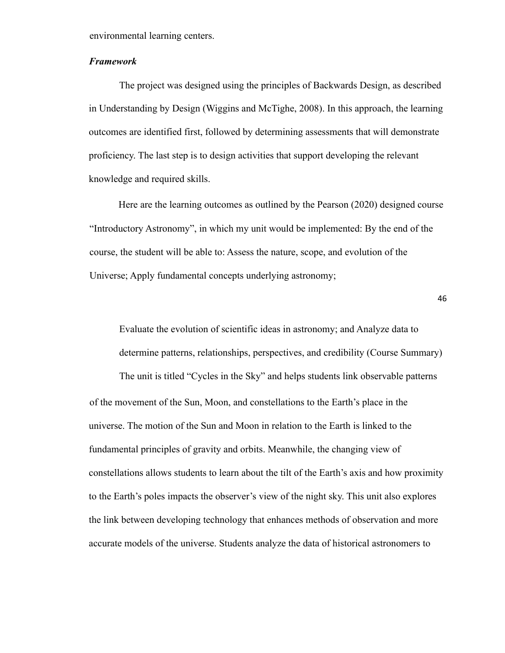environmental learning centers.

### *Framework*

The project was designed using the principles of Backwards Design, as described in Understanding by Design (Wiggins and McTighe, 2008). In this approach, the learning outcomes are identified first, followed by determining assessments that will demonstrate proficiency. The last step is to design activities that support developing the relevant knowledge and required skills.

Here are the learning outcomes as outlined by the Pearson (2020) designed course "Introductory Astronomy", in which my unit would be implemented: By the end of the course, the student will be able to: Assess the nature, scope, and evolution of the Universe; Apply fundamental concepts underlying astronomy;

46

Evaluate the evolution of scientific ideas in astronomy; and Analyze data to determine patterns, relationships, perspectives, and credibility (Course Summary) The unit is titled "Cycles in the Sky" and helps students link observable patterns of the movement of the Sun, Moon, and constellations to the Earth's place in the universe. The motion of the Sun and Moon in relation to the Earth is linked to the fundamental principles of gravity and orbits. Meanwhile, the changing view of constellations allows students to learn about the tilt of the Earth's axis and how proximity to the Earth's poles impacts the observer's view of the night sky. This unit also explores the link between developing technology that enhances methods of observation and more accurate models of the universe. Students analyze the data of historical astronomers to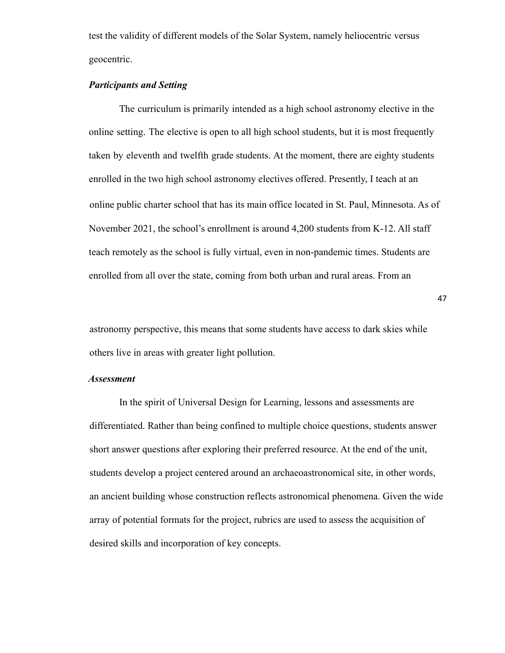test the validity of different models of the Solar System, namely heliocentric versus geocentric.

# *Participants and Setting*

The curriculum is primarily intended as a high school astronomy elective in the online setting. The elective is open to all high school students, but it is most frequently taken by eleventh and twelfth grade students. At the moment, there are eighty students enrolled in the two high school astronomy electives offered. Presently, I teach at an online public charter school that has its main office located in St. Paul, Minnesota. As of November 2021, the school's enrollment is around 4,200 students from K-12. All staff teach remotely as the school is fully virtual, even in non-pandemic times. Students are enrolled from all over the state, coming from both urban and rural areas. From an

astronomy perspective, this means that some students have access to dark skies while others live in areas with greater light pollution.

47

#### *Assessment*

In the spirit of Universal Design for Learning, lessons and assessments are differentiated. Rather than being confined to multiple choice questions, students answer short answer questions after exploring their preferred resource. At the end of the unit, students develop a project centered around an archaeoastronomical site, in other words, an ancient building whose construction reflects astronomical phenomena. Given the wide array of potential formats for the project, rubrics are used to assess the acquisition of desired skills and incorporation of key concepts.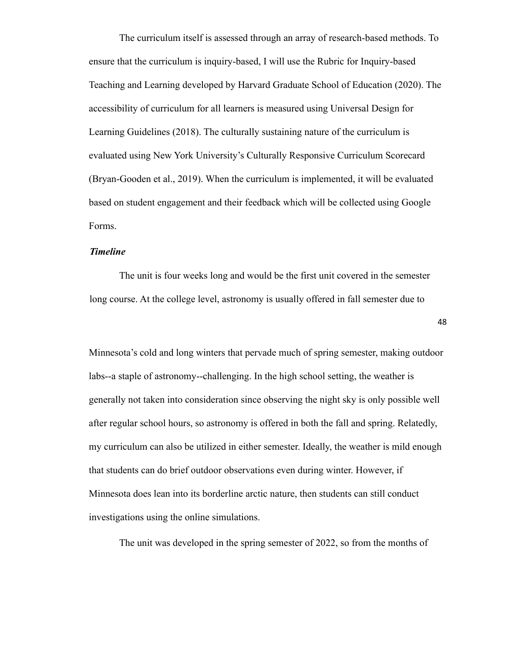The curriculum itself is assessed through an array of research-based methods. To ensure that the curriculum is inquiry-based, I will use the Rubric for Inquiry-based Teaching and Learning developed by Harvard Graduate School of Education (2020). The accessibility of curriculum for all learners is measured using Universal Design for Learning Guidelines (2018). The culturally sustaining nature of the curriculum is evaluated using New York University's Culturally Responsive Curriculum Scorecard (Bryan-Gooden et al., 2019). When the curriculum is implemented, it will be evaluated based on student engagement and their feedback which will be collected using Google Forms.

## *Timeline*

The unit is four weeks long and would be the first unit covered in the semester long course. At the college level, astronomy is usually offered in fall semester due to

48

Minnesota's cold and long winters that pervade much of spring semester, making outdoor labs--a staple of astronomy--challenging. In the high school setting, the weather is generally not taken into consideration since observing the night sky is only possible well after regular school hours, so astronomy is offered in both the fall and spring. Relatedly, my curriculum can also be utilized in either semester. Ideally, the weather is mild enough that students can do brief outdoor observations even during winter. However, if Minnesota does lean into its borderline arctic nature, then students can still conduct investigations using the online simulations.

The unit was developed in the spring semester of 2022, so from the months of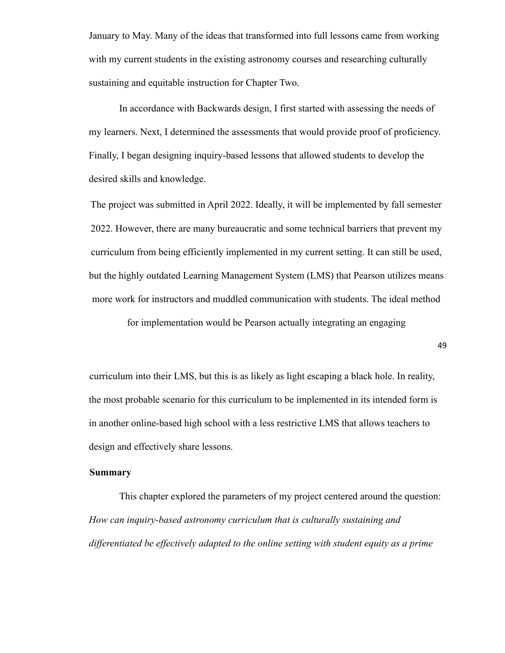January to May. Many of the ideas that transformed into full lessons came from working with my current students in the existing astronomy courses and researching culturally sustaining and equitable instruction for Chapter Two.

In accordance with Backwards design, I first started with assessing the needs of my learners. Next, I determined the assessments that would provide proof of proficiency. Finally, I began designing inquiry-based lessons that allowed students to develop the desired skills and knowledge.

The project was submitted in April 2022. Ideally, it will be implemented by fall semester 2022. However, there are many bureaucratic and some technical barriers that prevent my curriculum from being efficiently implemented in my current setting. It can still be used, but the highly outdated Learning Management System (LMS) that Pearson utilizes means more work for instructors and muddled communication with students. The ideal method

for implementation would be Pearson actually integrating an engaging

49

curriculum into their LMS, but this is as likely as light escaping a black hole. In reality, the most probable scenario for this curriculum to be implemented in its intended form is in another online-based high school with a less restrictive LMS that allows teachers to design and effectively share lessons.

## **Summary**

This chapter explored the parameters of my project centered around the question: *How can inquiry-based astronomy curriculum that is culturally sustaining and differentiated be effectively adapted to the online setting with student equity as a prime*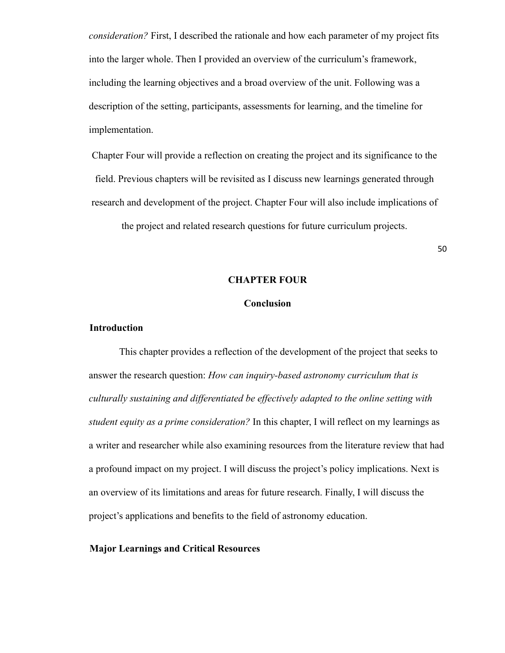*consideration?* First, I described the rationale and how each parameter of my project fits into the larger whole. Then I provided an overview of the curriculum's framework, including the learning objectives and a broad overview of the unit. Following was a description of the setting, participants, assessments for learning, and the timeline for implementation.

Chapter Four will provide a reflection on creating the project and its significance to the field. Previous chapters will be revisited as I discuss new learnings generated through research and development of the project. Chapter Four will also include implications of

the project and related research questions for future curriculum projects.

50

### **CHAPTER FOUR**

### **Conclusion**

### **Introduction**

This chapter provides a reflection of the development of the project that seeks to answer the research question: *How can inquiry-based astronomy curriculum that is culturally sustaining and differentiated be effectively adapted to the online setting with student equity as a prime consideration?* In this chapter, I will reflect on my learnings as a writer and researcher while also examining resources from the literature review that had a profound impact on my project. I will discuss the project's policy implications. Next is an overview of its limitations and areas for future research. Finally, I will discuss the project's applications and benefits to the field of astronomy education.

### **Major Learnings and Critical Resources**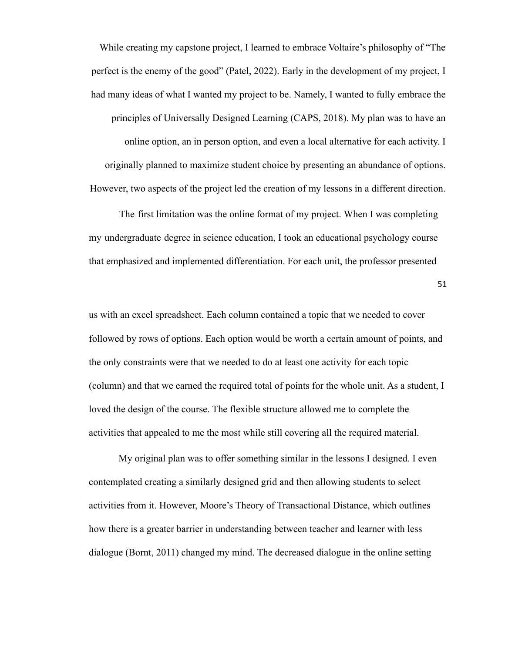While creating my capstone project, I learned to embrace Voltaire's philosophy of "The perfect is the enemy of the good" (Patel, 2022). Early in the development of my project, I had many ideas of what I wanted my project to be. Namely, I wanted to fully embrace the principles of Universally Designed Learning (CAPS, 2018). My plan was to have an online option, an in person option, and even a local alternative for each activity. I originally planned to maximize student choice by presenting an abundance of options. However, two aspects of the project led the creation of my lessons in a different direction.

The first limitation was the online format of my project. When I was completing my undergraduate degree in science education, I took an educational psychology course that emphasized and implemented differentiation. For each unit, the professor presented

51

us with an excel spreadsheet. Each column contained a topic that we needed to cover followed by rows of options. Each option would be worth a certain amount of points, and the only constraints were that we needed to do at least one activity for each topic (column) and that we earned the required total of points for the whole unit. As a student, I loved the design of the course. The flexible structure allowed me to complete the activities that appealed to me the most while still covering all the required material.

My original plan was to offer something similar in the lessons I designed. I even contemplated creating a similarly designed grid and then allowing students to select activities from it. However, Moore's Theory of Transactional Distance, which outlines how there is a greater barrier in understanding between teacher and learner with less dialogue (Bornt, 2011) changed my mind. The decreased dialogue in the online setting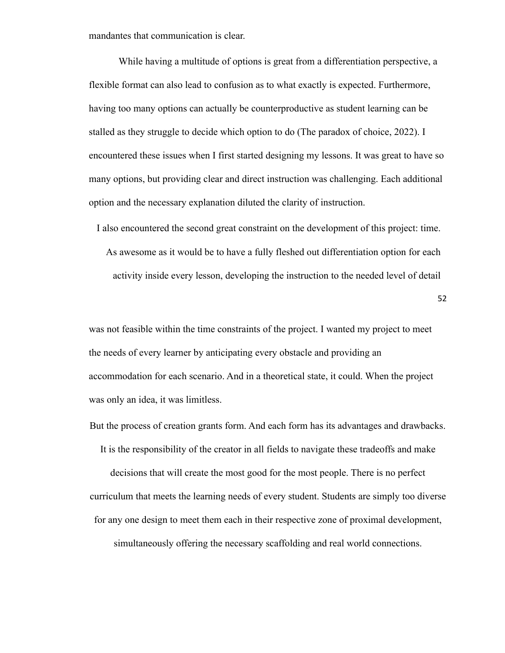mandantes that communication is clear.

While having a multitude of options is great from a differentiation perspective, a flexible format can also lead to confusion as to what exactly is expected. Furthermore, having too many options can actually be counterproductive as student learning can be stalled as they struggle to decide which option to do (The paradox of choice, 2022). I encountered these issues when I first started designing my lessons. It was great to have so many options, but providing clear and direct instruction was challenging. Each additional option and the necessary explanation diluted the clarity of instruction.

I also encountered the second great constraint on the development of this project: time. As awesome as it would be to have a fully fleshed out differentiation option for each activity inside every lesson, developing the instruction to the needed level of detail

52

was not feasible within the time constraints of the project. I wanted my project to meet the needs of every learner by anticipating every obstacle and providing an accommodation for each scenario. And in a theoretical state, it could. When the project was only an idea, it was limitless.

But the process of creation grants form. And each form has its advantages and drawbacks.

It is the responsibility of the creator in all fields to navigate these tradeoffs and make

decisions that will create the most good for the most people. There is no perfect curriculum that meets the learning needs of every student. Students are simply too diverse for any one design to meet them each in their respective zone of proximal development,

simultaneously offering the necessary scaffolding and real world connections.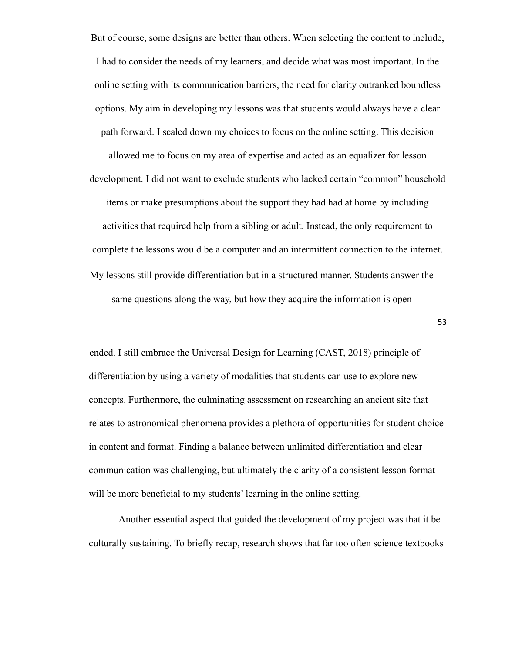But of course, some designs are better than others. When selecting the content to include, I had to consider the needs of my learners, and decide what was most important. In the online setting with its communication barriers, the need for clarity outranked boundless options. My aim in developing my lessons was that students would always have a clear path forward. I scaled down my choices to focus on the online setting. This decision allowed me to focus on my area of expertise and acted as an equalizer for lesson development. I did not want to exclude students who lacked certain "common" household items or make presumptions about the support they had had at home by including activities that required help from a sibling or adult. Instead, the only requirement to complete the lessons would be a computer and an intermittent connection to the internet. My lessons still provide differentiation but in a structured manner. Students answer the same questions along the way, but how they acquire the information is open

53

ended. I still embrace the Universal Design for Learning (CAST, 2018) principle of differentiation by using a variety of modalities that students can use to explore new concepts. Furthermore, the culminating assessment on researching an ancient site that relates to astronomical phenomena provides a plethora of opportunities for student choice in content and format. Finding a balance between unlimited differentiation and clear communication was challenging, but ultimately the clarity of a consistent lesson format will be more beneficial to my students' learning in the online setting.

Another essential aspect that guided the development of my project was that it be culturally sustaining. To briefly recap, research shows that far too often science textbooks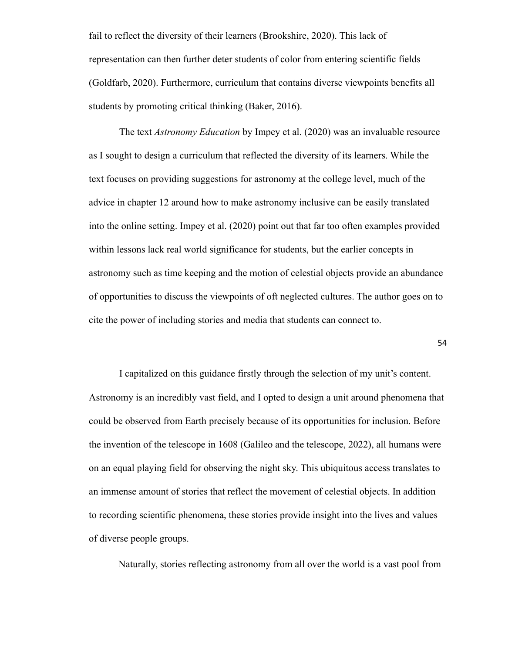fail to reflect the diversity of their learners (Brookshire, 2020). This lack of representation can then further deter students of color from entering scientific fields (Goldfarb, 2020). Furthermore, curriculum that contains diverse viewpoints benefits all students by promoting critical thinking (Baker, 2016).

The text *Astronomy Education* by Impey et al. (2020) was an invaluable resource as I sought to design a curriculum that reflected the diversity of its learners. While the text focuses on providing suggestions for astronomy at the college level, much of the advice in chapter 12 around how to make astronomy inclusive can be easily translated into the online setting. Impey et al. (2020) point out that far too often examples provided within lessons lack real world significance for students, but the earlier concepts in astronomy such as time keeping and the motion of celestial objects provide an abundance of opportunities to discuss the viewpoints of oft neglected cultures. The author goes on to cite the power of including stories and media that students can connect to.

54

I capitalized on this guidance firstly through the selection of my unit's content. Astronomy is an incredibly vast field, and I opted to design a unit around phenomena that could be observed from Earth precisely because of its opportunities for inclusion. Before the invention of the telescope in 1608 (Galileo and the telescope, 2022), all humans were on an equal playing field for observing the night sky. This ubiquitous access translates to an immense amount of stories that reflect the movement of celestial objects. In addition to recording scientific phenomena, these stories provide insight into the lives and values of diverse people groups.

Naturally, stories reflecting astronomy from all over the world is a vast pool from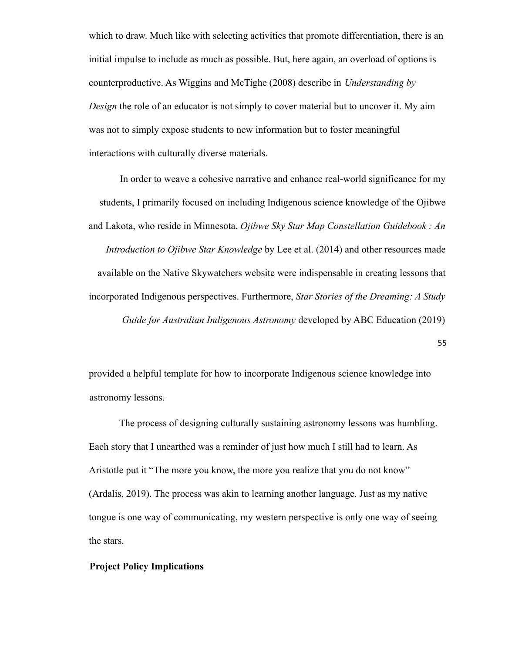which to draw. Much like with selecting activities that promote differentiation, there is an initial impulse to include as much as possible. But, here again, an overload of options is counterproductive. As Wiggins and McTighe (2008) describe in *Understanding by Design* the role of an educator is not simply to cover material but to uncover it. My aim was not to simply expose students to new information but to foster meaningful interactions with culturally diverse materials.

In order to weave a cohesive narrative and enhance real-world significance for my students, I primarily focused on including Indigenous science knowledge of the Ojibwe and Lakota, who reside in Minnesota. *Ojibwe Sky Star Map Constellation Guidebook : An Introduction to Ojibwe Star Knowledge* by Lee et al. (2014) and other resources made available on the Native Skywatchers website were indispensable in creating lessons that incorporated Indigenous perspectives. Furthermore, *Star Stories of the Dreaming: A Study Guide for Australian Indigenous Astronomy* developed by ABC Education (2019)

55

provided a helpful template for how to incorporate Indigenous science knowledge into astronomy lessons.

The process of designing culturally sustaining astronomy lessons was humbling. Each story that I unearthed was a reminder of just how much I still had to learn. As Aristotle put it "The more you know, the more you realize that you do not know" (Ardalis, 2019). The process was akin to learning another language. Just as my native tongue is one way of communicating, my western perspective is only one way of seeing the stars.

### **Project Policy Implications**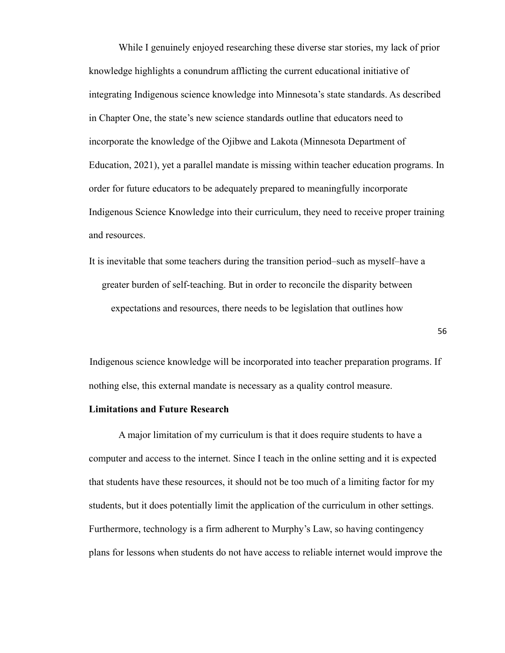While I genuinely enjoyed researching these diverse star stories, my lack of prior knowledge highlights a conundrum afflicting the current educational initiative of integrating Indigenous science knowledge into Minnesota's state standards. As described in Chapter One, the state's new science standards outline that educators need to incorporate the knowledge of the Ojibwe and Lakota (Minnesota Department of Education, 2021), yet a parallel mandate is missing within teacher education programs. In order for future educators to be adequately prepared to meaningfully incorporate Indigenous Science Knowledge into their curriculum, they need to receive proper training and resources.

It is inevitable that some teachers during the transition period–such as myself–have a greater burden of self-teaching. But in order to reconcile the disparity between expectations and resources, there needs to be legislation that outlines how

Indigenous science knowledge will be incorporated into teacher preparation programs. If nothing else, this external mandate is necessary as a quality control measure.

#### **Limitations and Future Research**

A major limitation of my curriculum is that it does require students to have a computer and access to the internet. Since I teach in the online setting and it is expected that students have these resources, it should not be too much of a limiting factor for my students, but it does potentially limit the application of the curriculum in other settings. Furthermore, technology is a firm adherent to Murphy's Law, so having contingency plans for lessons when students do not have access to reliable internet would improve the

56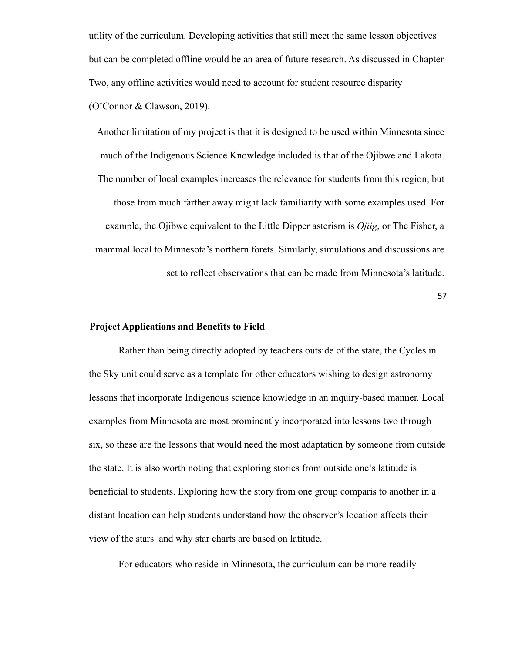utility of the curriculum. Developing activities that still meet the same lesson objectives but can be completed offline would be an area of future research. As discussed in Chapter Two, any offline activities would need to account for student resource disparity (O'Connor & Clawson, 2019).

Another limitation of my project is that it is designed to be used within Minnesota since much of the Indigenous Science Knowledge included is that of the Ojibwe and Lakota. The number of local examples increases the relevance for students from this region, but those from much farther away might lack familiarity with some examples used. For example, the Ojibwe equivalent to the Little Dipper asterism is *Ojiig*, or The Fisher, a mammal local to Minnesota's northern forets. Similarly, simulations and discussions are set to reflect observations that can be made from Minnesota's latitude.

57

### **Project Applications and Benefits to Field**

Rather than being directly adopted by teachers outside of the state, the Cycles in the Sky unit could serve as a template for other educators wishing to design astronomy lessons that incorporate Indigenous science knowledge in an inquiry-based manner. Local examples from Minnesota are most prominently incorporated into lessons two through six, so these are the lessons that would need the most adaptation by someone from outside the state. It is also worth noting that exploring stories from outside one's latitude is beneficial to students. Exploring how the story from one group comparis to another in a distant location can help students understand how the observer's location affects their view of the stars–and why star charts are based on latitude.

For educators who reside in Minnesota, the curriculum can be more readily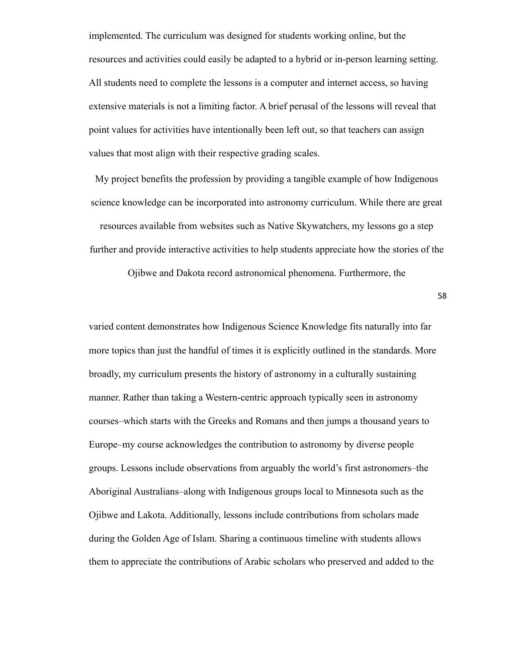implemented. The curriculum was designed for students working online, but the resources and activities could easily be adapted to a hybrid or in-person learning setting. All students need to complete the lessons is a computer and internet access, so having extensive materials is not a limiting factor. A brief perusal of the lessons will reveal that point values for activities have intentionally been left out, so that teachers can assign values that most align with their respective grading scales.

My project benefits the profession by providing a tangible example of how Indigenous science knowledge can be incorporated into astronomy curriculum. While there are great resources available from websites such as Native Skywatchers, my lessons go a step further and provide interactive activities to help students appreciate how the stories of the

Ojibwe and Dakota record astronomical phenomena. Furthermore, the

58

varied content demonstrates how Indigenous Science Knowledge fits naturally into far more topics than just the handful of times it is explicitly outlined in the standards. More broadly, my curriculum presents the history of astronomy in a culturally sustaining manner. Rather than taking a Western-centric approach typically seen in astronomy courses–which starts with the Greeks and Romans and then jumps a thousand years to Europe–my course acknowledges the contribution to astronomy by diverse people groups. Lessons include observations from arguably the world's first astronomers–the Aboriginal Australians–along with Indigenous groups local to Minnesota such as the Ojibwe and Lakota. Additionally, lessons include contributions from scholars made during the Golden Age of Islam. Sharing a continuous timeline with students allows them to appreciate the contributions of Arabic scholars who preserved and added to the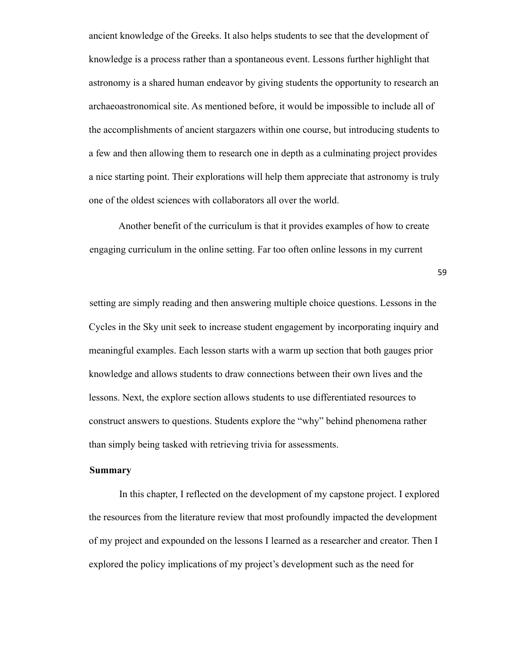ancient knowledge of the Greeks. It also helps students to see that the development of knowledge is a process rather than a spontaneous event. Lessons further highlight that astronomy is a shared human endeavor by giving students the opportunity to research an archaeoastronomical site. As mentioned before, it would be impossible to include all of the accomplishments of ancient stargazers within one course, but introducing students to a few and then allowing them to research one in depth as a culminating project provides a nice starting point. Their explorations will help them appreciate that astronomy is truly one of the oldest sciences with collaborators all over the world.

Another benefit of the curriculum is that it provides examples of how to create engaging curriculum in the online setting. Far too often online lessons in my current

59

setting are simply reading and then answering multiple choice questions. Lessons in the Cycles in the Sky unit seek to increase student engagement by incorporating inquiry and meaningful examples. Each lesson starts with a warm up section that both gauges prior knowledge and allows students to draw connections between their own lives and the lessons. Next, the explore section allows students to use differentiated resources to construct answers to questions. Students explore the "why" behind phenomena rather than simply being tasked with retrieving trivia for assessments.

# **Summary**

In this chapter, I reflected on the development of my capstone project. I explored the resources from the literature review that most profoundly impacted the development of my project and expounded on the lessons I learned as a researcher and creator. Then I explored the policy implications of my project's development such as the need for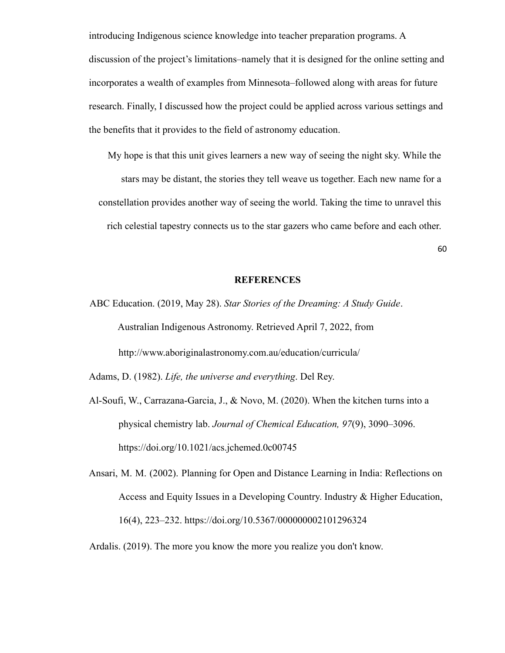introducing Indigenous science knowledge into teacher preparation programs. A discussion of the project's limitations–namely that it is designed for the online setting and incorporates a wealth of examples from Minnesota–followed along with areas for future research. Finally, I discussed how the project could be applied across various settings and the benefits that it provides to the field of astronomy education.

My hope is that this unit gives learners a new way of seeing the night sky. While the stars may be distant, the stories they tell weave us together. Each new name for a constellation provides another way of seeing the world. Taking the time to unravel this rich celestial tapestry connects us to the star gazers who came before and each other.

60

#### **REFERENCES**

ABC Education. (2019, May 28). *Star Stories of the Dreaming: A Study Guide*. Australian Indigenous Astronomy. Retrieved April 7, 2022, from http://www.aboriginalastronomy.com.au/education/curricula/

Adams, D. (1982). *Life, the universe and everything*. Del Rey.

- Al-Soufi, W., Carrazana-Garcia, J., & Novo, M. (2020). When the kitchen turns into a physical chemistry lab. *Journal of Chemical Education, 97*(9), 3090–3096. https://doi.org/10.1021/acs.jchemed.0c00745
- Ansari, M. M. (2002). Planning for Open and Distance Learning in India: Reflections on Access and Equity Issues in a Developing Country. Industry & Higher Education, 16(4), 223–232. https://doi.org/10.5367/000000002101296324
- Ardalis. (2019). The more you know the more you realize you don't know.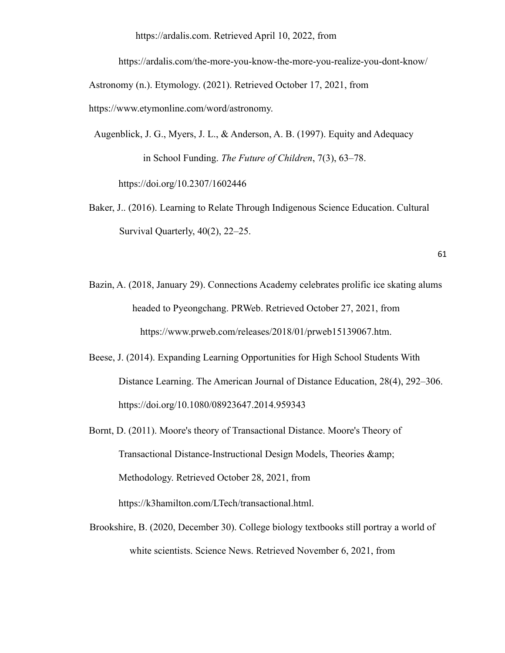https://ardalis.com. Retrieved April 10, 2022, from

https://ardalis.com/the-more-you-know-the-more-you-realize-you-dont-know/

Astronomy (n.). Etymology. (2021). Retrieved October 17, 2021, from

https://www.etymonline.com/word/astronomy.

Augenblick, J. G., Myers, J. L., & Anderson, A. B. (1997). Equity and Adequacy in School Funding. *The Future of Children*, 7(3), 63–78. https://doi.org/10.2307/1602446

Baker, J.. (2016). Learning to Relate Through Indigenous Science Education. Cultural Survival Quarterly, 40(2), 22–25.

Bazin, A. (2018, January 29). Connections Academy celebrates prolific ice skating alums headed to Pyeongchang. PRWeb. Retrieved October 27, 2021, from https://www.prweb.com/releases/2018/01/prweb15139067.htm.

- Beese, J. (2014). Expanding Learning Opportunities for High School Students With Distance Learning. The American Journal of Distance Education, 28(4), 292–306. https://doi.org/10.1080/08923647.2014.959343
- Bornt, D. (2011). Moore's theory of Transactional Distance. Moore's Theory of Transactional Distance-Instructional Design Models, Theories & Methodology. Retrieved October 28, 2021, from https://k3hamilton.com/LTech/transactional.html.
- Brookshire, B. (2020, December 30). College biology textbooks still portray a world of white scientists. Science News. Retrieved November 6, 2021, from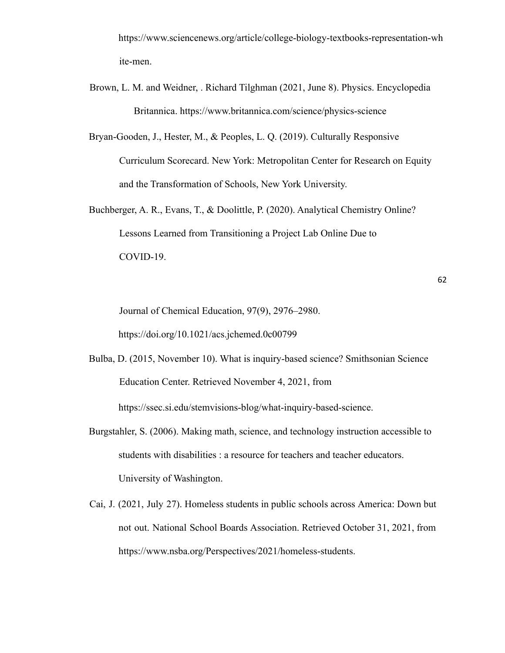https://www.sciencenews.org/article/college-biology-textbooks-representation-wh ite-men.

- Brown, L. M. and Weidner, . Richard Tilghman (2021, June 8). Physics. Encyclopedia Britannica. https://www.britannica.com/science/physics-science
- Bryan-Gooden, J., Hester, M., & Peoples, L. Q. (2019). Culturally Responsive Curriculum Scorecard. New York: Metropolitan Center for Research on Equity and the Transformation of Schools, New York University.
- Buchberger, A. R., Evans, T., & Doolittle, P. (2020). Analytical Chemistry Online? Lessons Learned from Transitioning a Project Lab Online Due to COVID-19.

Journal of Chemical Education, 97(9), 2976–2980. https://doi.org/10.1021/acs.jchemed.0c00799

- Bulba, D. (2015, November 10). What is inquiry-based science? Smithsonian Science Education Center. Retrieved November 4, 2021, from https://ssec.si.edu/stemvisions-blog/what-inquiry-based-science.
- Burgstahler, S. (2006). Making math, science, and technology instruction accessible to students with disabilities : a resource for teachers and teacher educators. University of Washington.
- Cai, J. (2021, July 27). Homeless students in public schools across America: Down but not out. National School Boards Association. Retrieved October 31, 2021, from https://www.nsba.org/Perspectives/2021/homeless-students.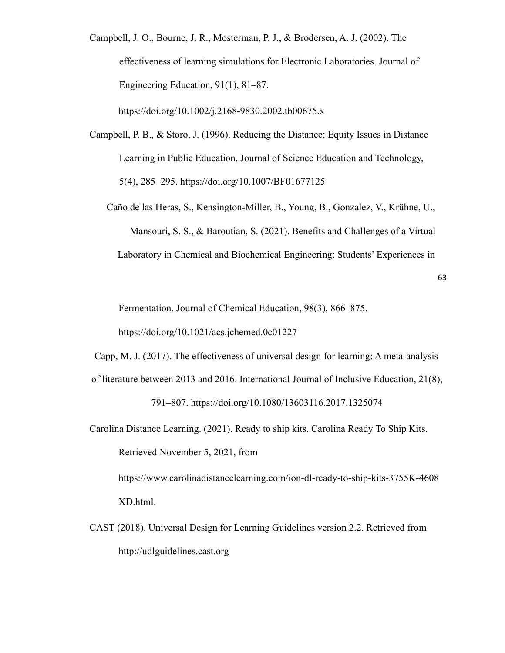Campbell, J. O., Bourne, J. R., Mosterman, P. J., & Brodersen, A. J. (2002). The effectiveness of learning simulations for Electronic Laboratories. Journal of Engineering Education, 91(1), 81–87.

https://doi.org/10.1002/j.2168-9830.2002.tb00675.x

- Campbell, P. B., & Storo, J. (1996). Reducing the Distance: Equity Issues in Distance Learning in Public Education. Journal of Science Education and Technology, 5(4), 285–295. https://doi.org/10.1007/BF01677125
	- Caño de las Heras, S., Kensington-Miller, B., Young, B., Gonzalez, V., Krühne, U., Mansouri, S. S., & Baroutian, S. (2021). Benefits and Challenges of a Virtual Laboratory in Chemical and Biochemical Engineering: Students' Experiences in

63

Fermentation. Journal of Chemical Education, 98(3), 866–875.

https://doi.org/10.1021/acs.jchemed.0c01227

Capp, M. J. (2017). The effectiveness of universal design for learning: A meta-analysis

- of literature between 2013 and 2016. International Journal of Inclusive Education, 21(8), 791–807. https://doi.org/10.1080/13603116.2017.1325074
- Carolina Distance Learning. (2021). Ready to ship kits. Carolina Ready To Ship Kits. Retrieved November 5, 2021, from https://www.carolinadistancelearning.com/ion-dl-ready-to-ship-kits-3755K-4608

XD.html.

CAST (2018). Universal Design for Learning Guidelines version 2.2. Retrieved from http://udlguidelines.cast.org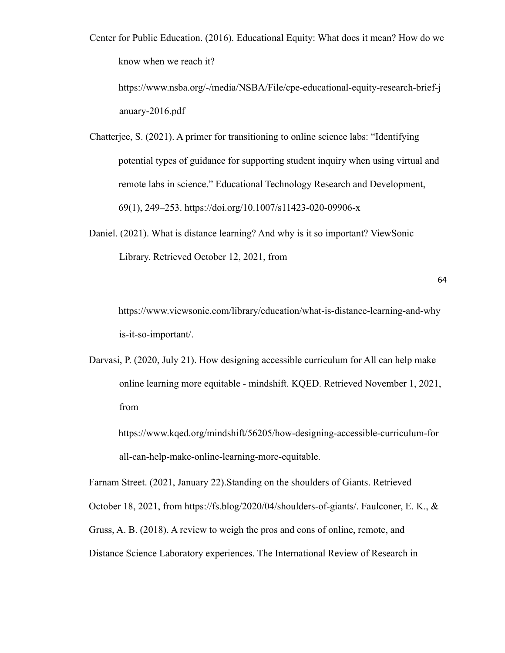Center for Public Education. (2016). Educational Equity: What does it mean? How do we know when we reach it?

https://www.nsba.org/-/media/NSBA/File/cpe-educational-equity-research-brief-j anuary-2016.pdf

- Chatterjee, S. (2021). A primer for transitioning to online science labs: "Identifying potential types of guidance for supporting student inquiry when using virtual and remote labs in science." Educational Technology Research and Development, 69(1), 249–253. https://doi.org/10.1007/s11423-020-09906-x
- Daniel. (2021). What is distance learning? And why is it so important? ViewSonic Library. Retrieved October 12, 2021, from

64

https://www.viewsonic.com/library/education/what-is-distance-learning-and-why is-it-so-important/.

Darvasi, P. (2020, July 21). How designing accessible curriculum for All can help make online learning more equitable - mindshift. KQED. Retrieved November 1, 2021, from

https://www.kqed.org/mindshift/56205/how-designing-accessible-curriculum-for all-can-help-make-online-learning-more-equitable.

Farnam Street. (2021, January 22).Standing on the shoulders of Giants. Retrieved October 18, 2021, from https://fs.blog/2020/04/shoulders-of-giants/. Faulconer, E. K., & Gruss, A. B. (2018). A review to weigh the pros and cons of online, remote, and Distance Science Laboratory experiences. The International Review of Research in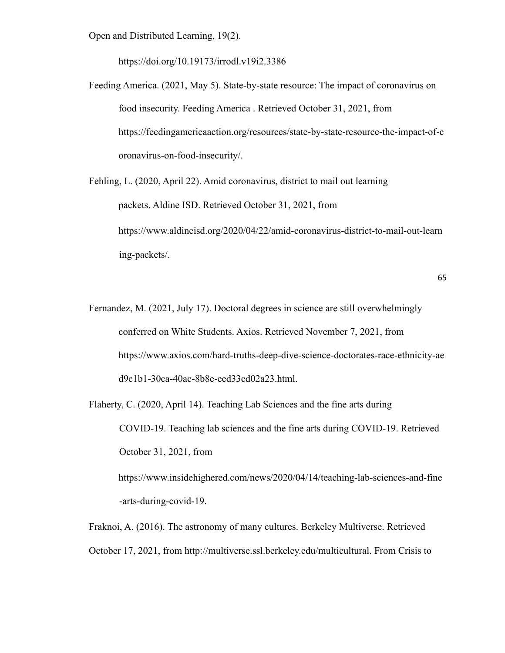Open and Distributed Learning, 19(2).

https://doi.org/10.19173/irrodl.v19i2.3386

Feeding America. (2021, May 5). State-by-state resource: The impact of coronavirus on food insecurity. Feeding America . Retrieved October 31, 2021, from https://feedingamericaaction.org/resources/state-by-state-resource-the-impact-of-c oronavirus-on-food-insecurity/.

Fehling, L. (2020, April 22). Amid coronavirus, district to mail out learning packets. Aldine ISD. Retrieved October 31, 2021, from https://www.aldineisd.org/2020/04/22/amid-coronavirus-district-to-mail-out-learn ing-packets/.

Fernandez, M. (2021, July 17). Doctoral degrees in science are still overwhelmingly conferred on White Students. Axios. Retrieved November 7, 2021, from https://www.axios.com/hard-truths-deep-dive-science-doctorates-race-ethnicity-ae d9c1b1-30ca-40ac-8b8e-eed33cd02a23.html.

Flaherty, C. (2020, April 14). Teaching Lab Sciences and the fine arts during COVID-19. Teaching lab sciences and the fine arts during COVID-19. Retrieved October 31, 2021, from https://www.insidehighered.com/news/2020/04/14/teaching-lab-sciences-and-fine -arts-during-covid-19.

Fraknoi, A. (2016). The astronomy of many cultures. Berkeley Multiverse. Retrieved October 17, 2021, from http://multiverse.ssl.berkeley.edu/multicultural. From Crisis to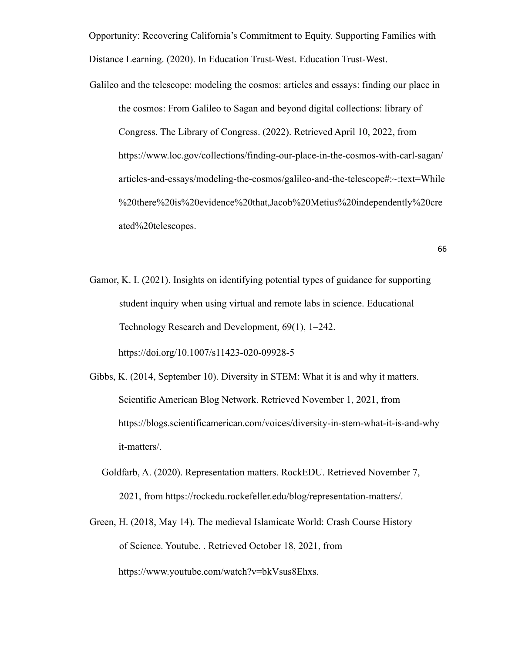Opportunity: Recovering California's Commitment to Equity. Supporting Families with Distance Learning. (2020). In Education Trust-West. Education Trust-West.

Galileo and the telescope: modeling the cosmos: articles and essays: finding our place in the cosmos: From Galileo to Sagan and beyond digital collections: library of Congress. The Library of Congress. (2022). Retrieved April 10, 2022, from https://www.loc.gov/collections/finding-our-place-in-the-cosmos-with-carl-sagan/ articles-and-essays/modeling-the-cosmos/galileo-and-the-telescope#:~:text=While %20there%20is%20evidence%20that,Jacob%20Metius%20independently%20cre ated%20telescopes.

$$
\;\;66
$$

- Gamor, K. I. (2021). Insights on identifying potential types of guidance for supporting student inquiry when using virtual and remote labs in science. Educational Technology Research and Development, 69(1), 1–242. https://doi.org/10.1007/s11423-020-09928-5
- Gibbs, K. (2014, September 10). Diversity in STEM: What it is and why it matters. Scientific American Blog Network. Retrieved November 1, 2021, from https://blogs.scientificamerican.com/voices/diversity-in-stem-what-it-is-and-why it-matters/.
	- Goldfarb, A. (2020). Representation matters. RockEDU. Retrieved November 7, 2021, from https://rockedu.rockefeller.edu/blog/representation-matters/.
- Green, H. (2018, May 14). The medieval Islamicate World: Crash Course History of Science. Youtube. . Retrieved October 18, 2021, from https://www.youtube.com/watch?v=bkVsus8Ehxs.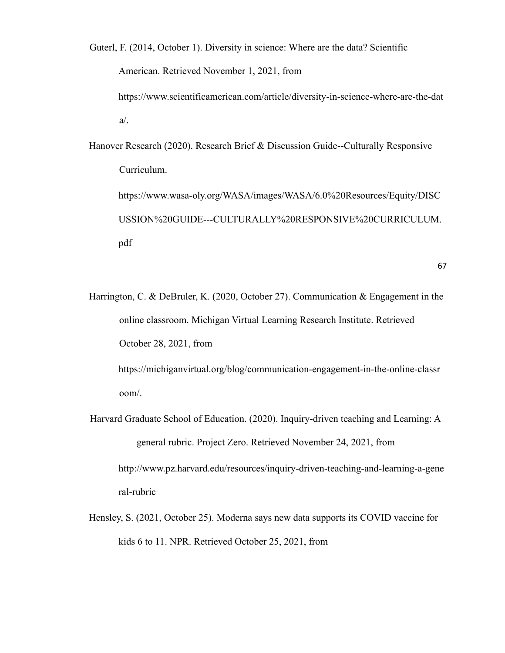Guterl, F. (2014, October 1). Diversity in science: Where are the data? Scientific American. Retrieved November 1, 2021, from https://www.scientificamerican.com/article/diversity-in-science-where-are-the-dat a/.

Hanover Research (2020). Research Brief & Discussion Guide--Culturally Responsive Curriculum. https://www.wasa-oly.org/WASA/images/WASA/6.0%20Resources/Equity/DISC USSION%20GUIDE---CULTURALLY%20RESPONSIVE%20CURRICULUM. pdf

67

Harrington, C. & DeBruler, K. (2020, October 27). Communication & Engagement in the online classroom. Michigan Virtual Learning Research Institute. Retrieved October 28, 2021, from

https://michiganvirtual.org/blog/communication-engagement-in-the-online-classr oom/.

- Harvard Graduate School of Education. (2020). Inquiry-driven teaching and Learning: A general rubric. Project Zero. Retrieved November 24, 2021, from http://www.pz.harvard.edu/resources/inquiry-driven-teaching-and-learning-a-gene ral-rubric
- Hensley, S. (2021, October 25). Moderna says new data supports its COVID vaccine for kids 6 to 11. NPR. Retrieved October 25, 2021, from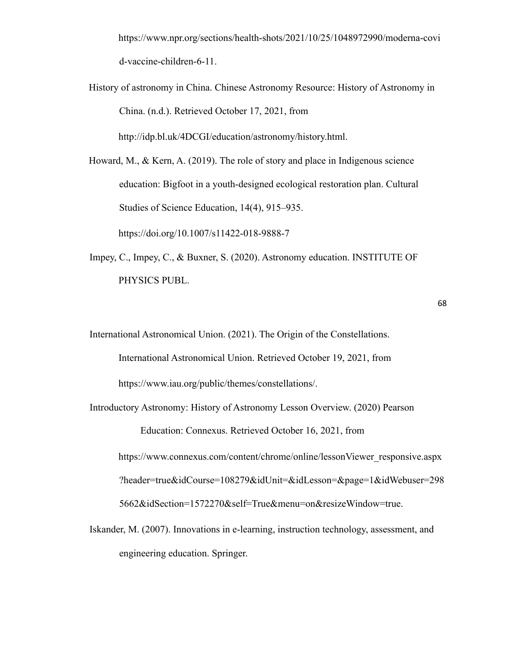https://www.npr.org/sections/health-shots/2021/10/25/1048972990/moderna-covi d-vaccine-children-6-11.

History of astronomy in China. Chinese Astronomy Resource: History of Astronomy in China. (n.d.). Retrieved October 17, 2021, from

http://idp.bl.uk/4DCGI/education/astronomy/history.html.

Howard, M., & Kern, A. (2019). The role of story and place in Indigenous science education: Bigfoot in a youth-designed ecological restoration plan. Cultural Studies of Science Education, 14(4), 915–935.

https://doi.org/10.1007/s11422-018-9888-7

Impey, C., Impey, C., & Buxner, S. (2020). Astronomy education. INSTITUTE OF PHYSICS PUBL.

```
68
```
International Astronomical Union. (2021). The Origin of the Constellations. International Astronomical Union. Retrieved October 19, 2021, from https://www.iau.org/public/themes/constellations/.

Introductory Astronomy: History of Astronomy Lesson Overview. (2020) Pearson Education: Connexus. Retrieved October 16, 2021, from https://www.connexus.com/content/chrome/online/lessonViewer\_responsive.aspx ?header=true&idCourse=108279&idUnit=&idLesson=&page=1&idWebuser=298

5662&idSection=1572270&self=True&menu=on&resizeWindow=true.

Iskander, M. (2007). Innovations in e-learning, instruction technology, assessment, and engineering education. Springer.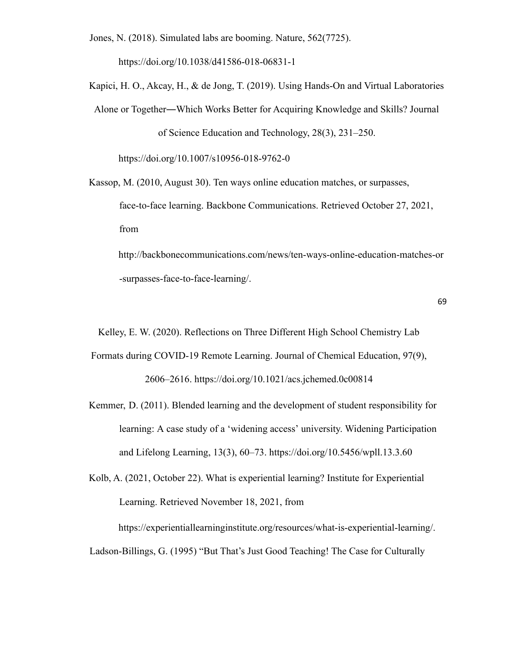Jones, N. (2018). Simulated labs are booming. Nature, 562(7725).

https://doi.org/10.1038/d41586-018-06831-1

Kapici, H. O., Akcay, H., & de Jong, T. (2019). Using Hands-On and Virtual Laboratories Alone or Together―Which Works Better for Acquiring Knowledge and Skills? Journal of Science Education and Technology, 28(3), 231–250.

https://doi.org/10.1007/s10956-018-9762-0

- Kassop, M. (2010, August 30). Ten ways online education matches, or surpasses, face-to-face learning. Backbone Communications. Retrieved October 27, 2021, from
	- http://backbonecommunications.com/news/ten-ways-online-education-matches-or -surpasses-face-to-face-learning/.

```
69
```
Kelley, E. W. (2020). Reflections on Three Different High School Chemistry Lab Formats during COVID-19 Remote Learning. Journal of Chemical Education, 97(9), 2606–2616. https://doi.org/10.1021/acs.jchemed.0c00814

Kemmer, D. (2011). Blended learning and the development of student responsibility for learning: A case study of a 'widening access' university. Widening Participation and Lifelong Learning, 13(3), 60–73. https://doi.org/10.5456/wpll.13.3.60

Kolb, A. (2021, October 22). What is experiential learning? Institute for Experiential Learning. Retrieved November 18, 2021, from

https://experientiallearninginstitute.org/resources/what-is-experiential-learning/.

Ladson-Billings, G. (1995) "But That's Just Good Teaching! The Case for Culturally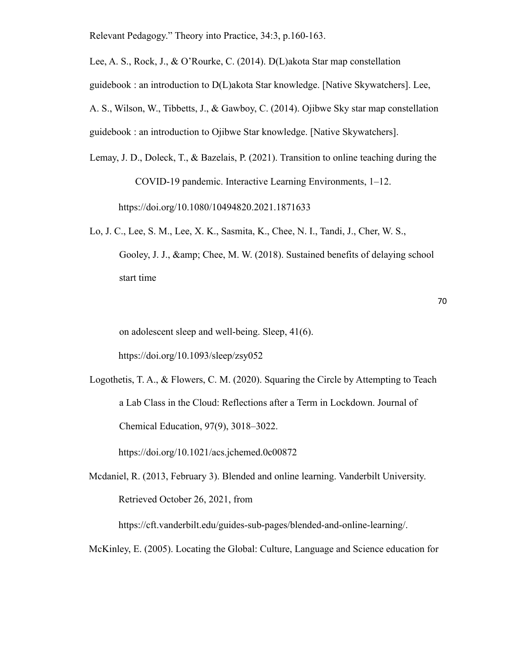Relevant Pedagogy." Theory into Practice, 34:3, p.160-163.

Lee, A. S., Rock, J., & O'Rourke, C. (2014). D(L)akota Star map constellation guidebook : an introduction to D(L)akota Star knowledge. [Native Skywatchers]. Lee, A. S., Wilson, W., Tibbetts, J., & Gawboy, C. (2014). Ojibwe Sky star map constellation guidebook : an introduction to Ojibwe Star knowledge. [Native Skywatchers].

- Lemay, J. D., Doleck, T., & Bazelais, P. (2021). Transition to online teaching during the COVID-19 pandemic. Interactive Learning Environments, 1–12. https://doi.org/10.1080/10494820.2021.1871633
- Lo, J. C., Lee, S. M., Lee, X. K., Sasmita, K., Chee, N. I., Tandi, J., Cher, W. S., Gooley, J. J., & amp; Chee, M. W. (2018). Sustained benefits of delaying school start time

on adolescent sleep and well-being. Sleep, 41(6).

https://doi.org/10.1093/sleep/zsy052

Logothetis, T. A., & Flowers, C. M. (2020). Squaring the Circle by Attempting to Teach a Lab Class in the Cloud: Reflections after a Term in Lockdown. Journal of Chemical Education, 97(9), 3018–3022.

https://doi.org/10.1021/acs.jchemed.0c00872

Mcdaniel, R. (2013, February 3). Blended and online learning. Vanderbilt University. Retrieved October 26, 2021, from

https://cft.vanderbilt.edu/guides-sub-pages/blended-and-online-learning/.

McKinley, E. (2005). Locating the Global: Culture, Language and Science education for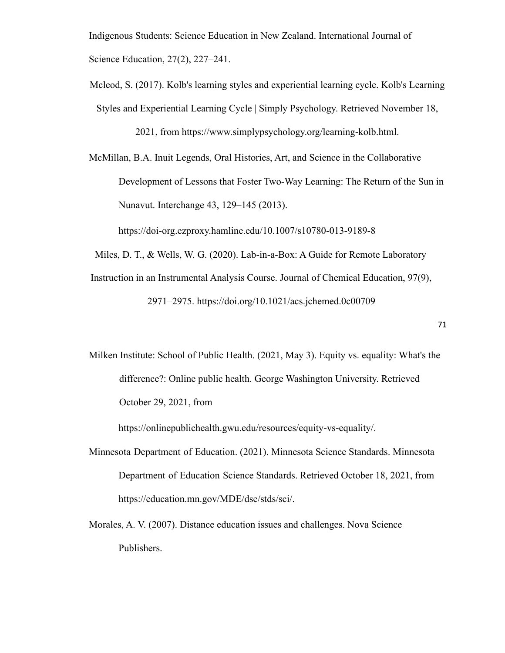Indigenous Students: Science Education in New Zealand. International Journal of Science Education, 27(2), 227–241.

Mcleod, S. (2017). Kolb's learning styles and experiential learning cycle. Kolb's Learning Styles and Experiential Learning Cycle | Simply Psychology. Retrieved November 18, 2021, from https://www.simplypsychology.org/learning-kolb.html.

McMillan, B.A. Inuit Legends, Oral Histories, Art, and Science in the Collaborative Development of Lessons that Foster Two-Way Learning: The Return of the Sun in Nunavut. Interchange 43, 129–145 (2013).

https://doi-org.ezproxy.hamline.edu/10.1007/s10780-013-9189-8

Miles, D. T., & Wells, W. G. (2020). Lab-in-a-Box: A Guide for Remote Laboratory

Instruction in an Instrumental Analysis Course. Journal of Chemical Education, 97(9),

2971–2975. https://doi.org/10.1021/acs.jchemed.0c00709

Milken Institute: School of Public Health. (2021, May 3). Equity vs. equality: What's the difference?: Online public health. George Washington University. Retrieved October 29, 2021, from

https://onlinepublichealth.gwu.edu/resources/equity-vs-equality/.

- Minnesota Department of Education. (2021). Minnesota Science Standards. Minnesota Department of Education Science Standards. Retrieved October 18, 2021, from https://education.mn.gov/MDE/dse/stds/sci/.
- Morales, A. V. (2007). Distance education issues and challenges. Nova Science Publishers.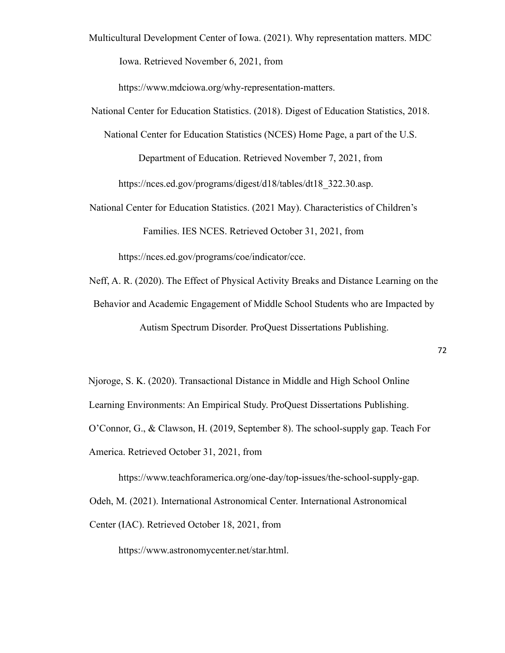Multicultural Development Center of Iowa. (2021). Why representation matters. MDC Iowa. Retrieved November 6, 2021, from

https://www.mdciowa.org/why-representation-matters.

National Center for Education Statistics. (2018). Digest of Education Statistics, 2018.

National Center for Education Statistics (NCES) Home Page, a part of the U.S.

Department of Education. Retrieved November 7, 2021, from

https://nces.ed.gov/programs/digest/d18/tables/dt18\_322.30.asp.

National Center for Education Statistics. (2021 May). Characteristics of Children's Families. IES NCES. Retrieved October 31, 2021, from

https://nces.ed.gov/programs/coe/indicator/cce.

Neff, A. R. (2020). The Effect of Physical Activity Breaks and Distance Learning on the Behavior and Academic Engagement of Middle School Students who are Impacted by Autism Spectrum Disorder. ProQuest Dissertations Publishing.

Njoroge, S. K. (2020). Transactional Distance in Middle and High School Online Learning Environments: An Empirical Study. ProQuest Dissertations Publishing. O'Connor, G., & Clawson, H. (2019, September 8). The school-supply gap. Teach For America. Retrieved October 31, 2021, from

https://www.teachforamerica.org/one-day/top-issues/the-school-supply-gap. Odeh, M. (2021). International Astronomical Center. International Astronomical Center (IAC). Retrieved October 18, 2021, from

https://www.astronomycenter.net/star.html.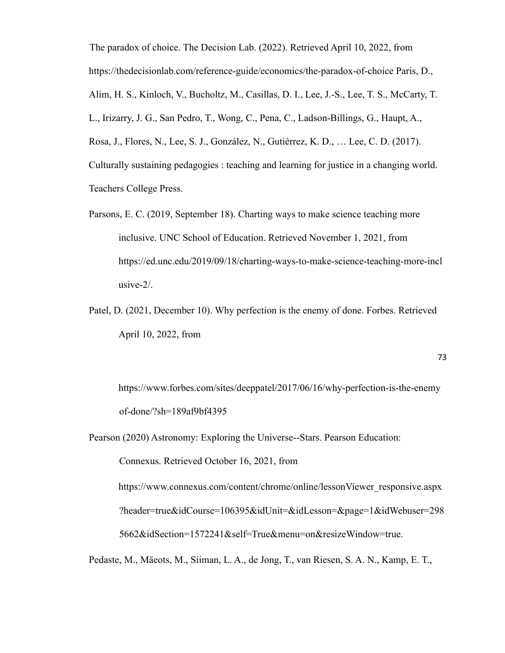The paradox of choice. The Decision Lab. (2022). Retrieved April 10, 2022, from https://thedecisionlab.com/reference-guide/economics/the-paradox-of-choice Paris, D., Alim, H. S., Kinloch, V., Bucholtz, M., Casillas, D. I., Lee, J.-S., Lee, T. S., McCarty, T. L., Irizarry, J. G., San Pedro, T., Wong, C., Pena, C., Ladson-Billings, G., Haupt, A., Rosa, J., Flores, N., Lee, S. J., González, N., Gutiérrez, K. D., … Lee, C. D. (2017). Culturally sustaining pedagogies : teaching and learning for justice in a changing world. Teachers College Press.

- Parsons, E. C. (2019, September 18). Charting ways to make science teaching more inclusive. UNC School of Education. Retrieved November 1, 2021, from https://ed.unc.edu/2019/09/18/charting-ways-to-make-science-teaching-more-incl usive-2/.
- Patel, D. (2021, December 10). Why perfection is the enemy of done. Forbes. Retrieved April 10, 2022, from

https://www.forbes.com/sites/deeppatel/2017/06/16/why-perfection-is-the-enemy of-done/?sh=189af9bf4395

Pearson (2020) Astronomy: Exploring the Universe--Stars. Pearson Education:

Connexus. Retrieved October 16, 2021, from

https://www.connexus.com/content/chrome/online/lessonViewer\_responsive.aspx ?header=true&idCourse=106395&idUnit=&idLesson=&page=1&idWebuser=298 5662&idSection=1572241&self=True&menu=on&resizeWindow=true.

Pedaste, M., Mäeots, M., Siiman, L. A., de Jong, T., van Riesen, S. A. N., Kamp, E. T.,

73